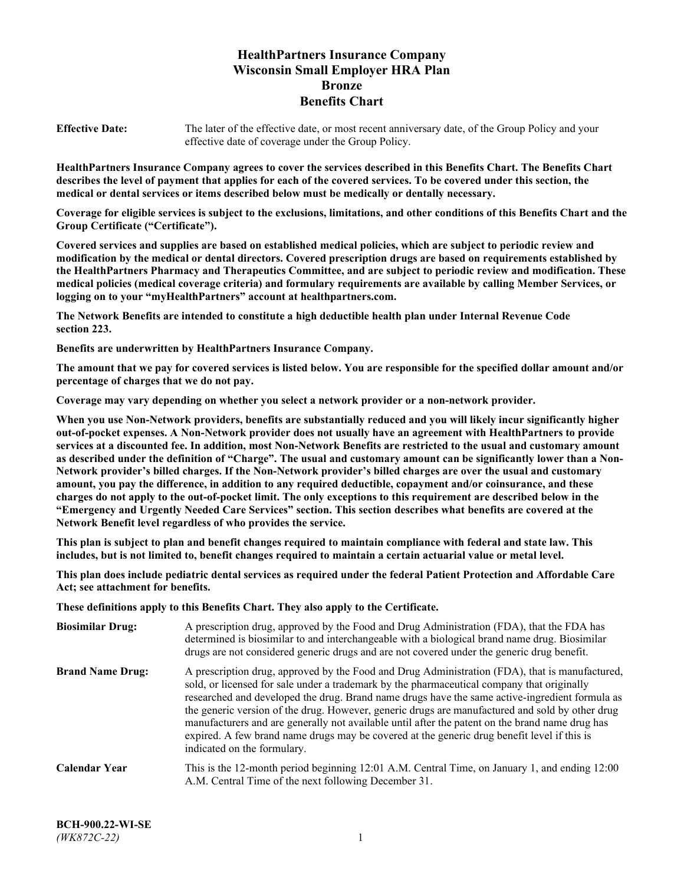# **HealthPartners Insurance Company Wisconsin Small Employer HRA Plan Bronze Benefits Chart**

**Effective Date:** The later of the effective date, or most recent anniversary date, of the Group Policy and your effective date of coverage under the Group Policy.

**HealthPartners Insurance Company agrees to cover the services described in this Benefits Chart. The Benefits Chart describes the level of payment that applies for each of the covered services. To be covered under this section, the medical or dental services or items described below must be medically or dentally necessary.**

**Coverage for eligible services is subject to the exclusions, limitations, and other conditions of this Benefits Chart and the Group Certificate ("Certificate").**

**Covered services and supplies are based on established medical policies, which are subject to periodic review and modification by the medical or dental directors. Covered prescription drugs are based on requirements established by the HealthPartners Pharmacy and Therapeutics Committee, and are subject to periodic review and modification. These medical policies (medical coverage criteria) and formulary requirements are available by calling Member Services, or logging on to your "myHealthPartners" account at [healthpartners.com.](https://www.healthpartners.com/hp/index.html)**

**The Network Benefits are intended to constitute a high deductible health plan under Internal Revenue Code section 223.**

**Benefits are underwritten by HealthPartners Insurance Company.**

**The amount that we pay for covered services is listed below. You are responsible for the specified dollar amount and/or percentage of charges that we do not pay.**

**Coverage may vary depending on whether you select a network provider or a non-network provider.**

**When you use Non-Network providers, benefits are substantially reduced and you will likely incur significantly higher out-of-pocket expenses. A Non-Network provider does not usually have an agreement with HealthPartners to provide services at a discounted fee. In addition, most Non-Network Benefits are restricted to the usual and customary amount as described under the definition of "Charge". The usual and customary amount can be significantly lower than a Non-Network provider's billed charges. If the Non-Network provider's billed charges are over the usual and customary amount, you pay the difference, in addition to any required deductible, copayment and/or coinsurance, and these charges do not apply to the out-of-pocket limit. The only exceptions to this requirement are described below in the "Emergency and Urgently Needed Care Services" section. This section describes what benefits are covered at the Network Benefit level regardless of who provides the service.**

**This plan is subject to plan and benefit changes required to maintain compliance with federal and state law. This includes, but is not limited to, benefit changes required to maintain a certain actuarial value or metal level.**

**This plan does include pediatric dental services as required under the federal Patient Protection and Affordable Care Act; see attachment for benefits.**

**These definitions apply to this Benefits Chart. They also apply to the Certificate.**

| <b>Biosimilar Drug:</b> | A prescription drug, approved by the Food and Drug Administration (FDA), that the FDA has<br>determined is biosimilar to and interchangeable with a biological brand name drug. Biosimilar<br>drugs are not considered generic drugs and are not covered under the generic drug benefit.                                                                                                                                                                                                                                                                                                                                           |
|-------------------------|------------------------------------------------------------------------------------------------------------------------------------------------------------------------------------------------------------------------------------------------------------------------------------------------------------------------------------------------------------------------------------------------------------------------------------------------------------------------------------------------------------------------------------------------------------------------------------------------------------------------------------|
| <b>Brand Name Drug:</b> | A prescription drug, approved by the Food and Drug Administration (FDA), that is manufactured,<br>sold, or licensed for sale under a trademark by the pharmaceutical company that originally<br>researched and developed the drug. Brand name drugs have the same active-ingredient formula as<br>the generic version of the drug. However, generic drugs are manufactured and sold by other drug<br>manufacturers and are generally not available until after the patent on the brand name drug has<br>expired. A few brand name drugs may be covered at the generic drug benefit level if this is<br>indicated on the formulary. |
| <b>Calendar Year</b>    | This is the 12-month period beginning 12:01 A.M. Central Time, on January 1, and ending 12:00<br>A.M. Central Time of the next following December 31.                                                                                                                                                                                                                                                                                                                                                                                                                                                                              |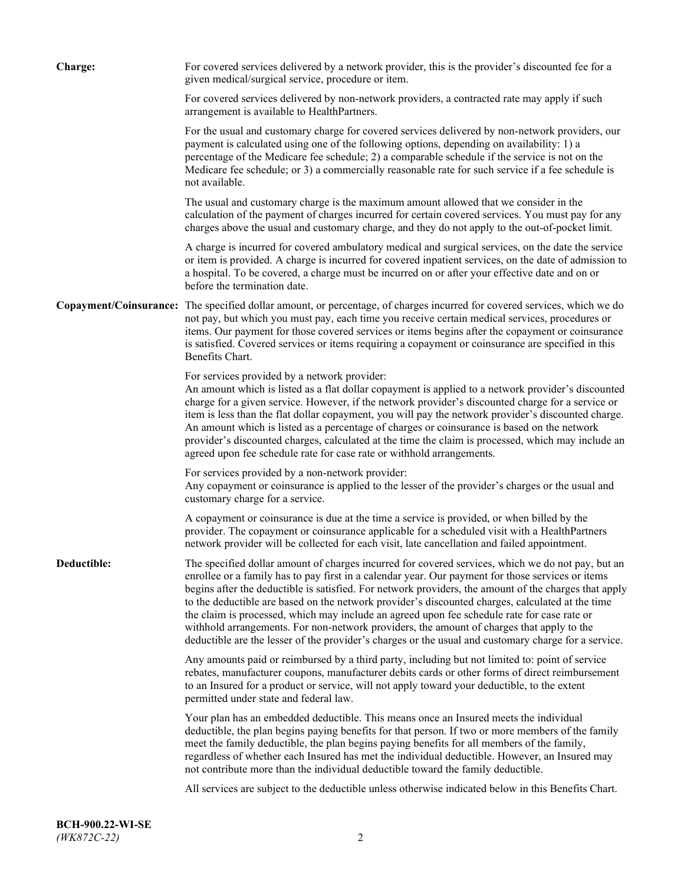| <b>Charge:</b> | For covered services delivered by a network provider, this is the provider's discounted fee for a<br>given medical/surgical service, procedure or item.                                                                                                                                                                                                                                                                                                                                                                                                                                                                                                                                                                 |
|----------------|-------------------------------------------------------------------------------------------------------------------------------------------------------------------------------------------------------------------------------------------------------------------------------------------------------------------------------------------------------------------------------------------------------------------------------------------------------------------------------------------------------------------------------------------------------------------------------------------------------------------------------------------------------------------------------------------------------------------------|
|                | For covered services delivered by non-network providers, a contracted rate may apply if such<br>arrangement is available to HealthPartners.                                                                                                                                                                                                                                                                                                                                                                                                                                                                                                                                                                             |
|                | For the usual and customary charge for covered services delivered by non-network providers, our<br>payment is calculated using one of the following options, depending on availability: 1) a<br>percentage of the Medicare fee schedule; 2) a comparable schedule if the service is not on the<br>Medicare fee schedule; or 3) a commercially reasonable rate for such service if a fee schedule is<br>not available.                                                                                                                                                                                                                                                                                                   |
|                | The usual and customary charge is the maximum amount allowed that we consider in the<br>calculation of the payment of charges incurred for certain covered services. You must pay for any<br>charges above the usual and customary charge, and they do not apply to the out-of-pocket limit.                                                                                                                                                                                                                                                                                                                                                                                                                            |
|                | A charge is incurred for covered ambulatory medical and surgical services, on the date the service<br>or item is provided. A charge is incurred for covered inpatient services, on the date of admission to<br>a hospital. To be covered, a charge must be incurred on or after your effective date and on or<br>before the termination date.                                                                                                                                                                                                                                                                                                                                                                           |
|                | Copayment/Coinsurance: The specified dollar amount, or percentage, of charges incurred for covered services, which we do<br>not pay, but which you must pay, each time you receive certain medical services, procedures or<br>items. Our payment for those covered services or items begins after the copayment or coinsurance<br>is satisfied. Covered services or items requiring a copayment or coinsurance are specified in this<br>Benefits Chart.                                                                                                                                                                                                                                                                 |
|                | For services provided by a network provider:<br>An amount which is listed as a flat dollar copayment is applied to a network provider's discounted<br>charge for a given service. However, if the network provider's discounted charge for a service or<br>item is less than the flat dollar copayment, you will pay the network provider's discounted charge.<br>An amount which is listed as a percentage of charges or coinsurance is based on the network<br>provider's discounted charges, calculated at the time the claim is processed, which may include an<br>agreed upon fee schedule rate for case rate or withhold arrangements.                                                                            |
|                | For services provided by a non-network provider:<br>Any copayment or coinsurance is applied to the lesser of the provider's charges or the usual and<br>customary charge for a service.                                                                                                                                                                                                                                                                                                                                                                                                                                                                                                                                 |
|                | A copayment or coinsurance is due at the time a service is provided, or when billed by the<br>provider. The copayment or coinsurance applicable for a scheduled visit with a HealthPartners<br>network provider will be collected for each visit, late cancellation and failed appointment.                                                                                                                                                                                                                                                                                                                                                                                                                             |
| Deductible:    | The specified dollar amount of charges incurred for covered services, which we do not pay, but an<br>enrollee or a family has to pay first in a calendar year. Our payment for those services or items<br>begins after the deductible is satisfied. For network providers, the amount of the charges that apply<br>to the deductible are based on the network provider's discounted charges, calculated at the time<br>the claim is processed, which may include an agreed upon fee schedule rate for case rate or<br>withhold arrangements. For non-network providers, the amount of charges that apply to the<br>deductible are the lesser of the provider's charges or the usual and customary charge for a service. |
|                | Any amounts paid or reimbursed by a third party, including but not limited to: point of service<br>rebates, manufacturer coupons, manufacturer debits cards or other forms of direct reimbursement<br>to an Insured for a product or service, will not apply toward your deductible, to the extent<br>permitted under state and federal law.                                                                                                                                                                                                                                                                                                                                                                            |
|                | Your plan has an embedded deductible. This means once an Insured meets the individual<br>deductible, the plan begins paying benefits for that person. If two or more members of the family<br>meet the family deductible, the plan begins paying benefits for all members of the family,<br>regardless of whether each Insured has met the individual deductible. However, an Insured may<br>not contribute more than the individual deductible toward the family deductible.                                                                                                                                                                                                                                           |
|                | All services are subject to the deductible unless otherwise indicated below in this Benefits Chart.                                                                                                                                                                                                                                                                                                                                                                                                                                                                                                                                                                                                                     |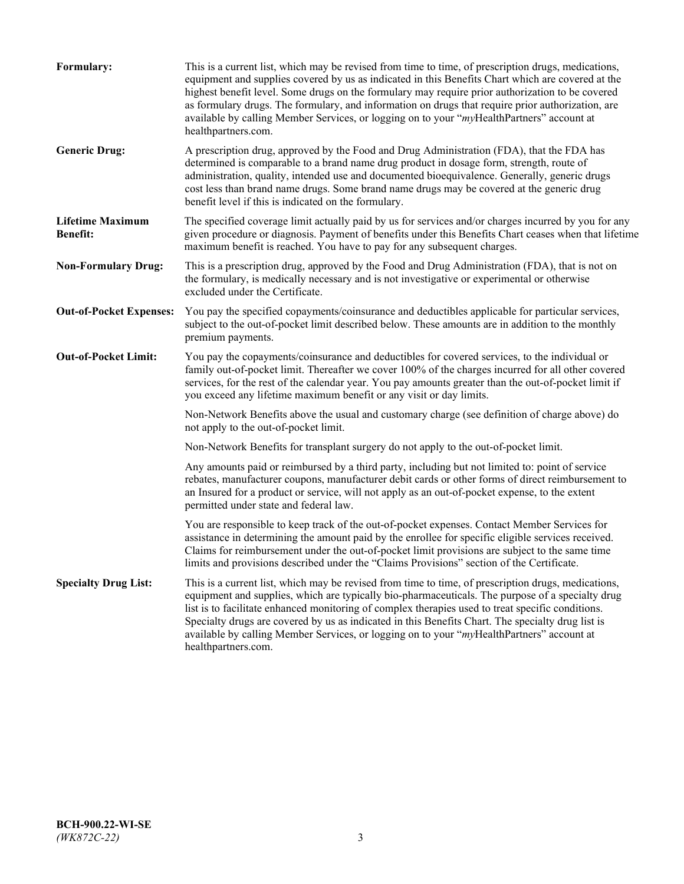| Formulary:                                 | This is a current list, which may be revised from time to time, of prescription drugs, medications,<br>equipment and supplies covered by us as indicated in this Benefits Chart which are covered at the<br>highest benefit level. Some drugs on the formulary may require prior authorization to be covered<br>as formulary drugs. The formulary, and information on drugs that require prior authorization, are<br>available by calling Member Services, or logging on to your "myHealthPartners" account at<br>healthpartners.com. |
|--------------------------------------------|---------------------------------------------------------------------------------------------------------------------------------------------------------------------------------------------------------------------------------------------------------------------------------------------------------------------------------------------------------------------------------------------------------------------------------------------------------------------------------------------------------------------------------------|
| <b>Generic Drug:</b>                       | A prescription drug, approved by the Food and Drug Administration (FDA), that the FDA has<br>determined is comparable to a brand name drug product in dosage form, strength, route of<br>administration, quality, intended use and documented bioequivalence. Generally, generic drugs<br>cost less than brand name drugs. Some brand name drugs may be covered at the generic drug<br>benefit level if this is indicated on the formulary.                                                                                           |
| <b>Lifetime Maximum</b><br><b>Benefit:</b> | The specified coverage limit actually paid by us for services and/or charges incurred by you for any<br>given procedure or diagnosis. Payment of benefits under this Benefits Chart ceases when that lifetime<br>maximum benefit is reached. You have to pay for any subsequent charges.                                                                                                                                                                                                                                              |
| <b>Non-Formulary Drug:</b>                 | This is a prescription drug, approved by the Food and Drug Administration (FDA), that is not on<br>the formulary, is medically necessary and is not investigative or experimental or otherwise<br>excluded under the Certificate.                                                                                                                                                                                                                                                                                                     |
| <b>Out-of-Pocket Expenses:</b>             | You pay the specified copayments/coinsurance and deductibles applicable for particular services,<br>subject to the out-of-pocket limit described below. These amounts are in addition to the monthly<br>premium payments.                                                                                                                                                                                                                                                                                                             |
| <b>Out-of-Pocket Limit:</b>                | You pay the copayments/coinsurance and deductibles for covered services, to the individual or<br>family out-of-pocket limit. Thereafter we cover 100% of the charges incurred for all other covered<br>services, for the rest of the calendar year. You pay amounts greater than the out-of-pocket limit if<br>you exceed any lifetime maximum benefit or any visit or day limits.                                                                                                                                                    |
|                                            | Non-Network Benefits above the usual and customary charge (see definition of charge above) do<br>not apply to the out-of-pocket limit.                                                                                                                                                                                                                                                                                                                                                                                                |
|                                            | Non-Network Benefits for transplant surgery do not apply to the out-of-pocket limit.                                                                                                                                                                                                                                                                                                                                                                                                                                                  |
|                                            | Any amounts paid or reimbursed by a third party, including but not limited to: point of service<br>rebates, manufacturer coupons, manufacturer debit cards or other forms of direct reimbursement to<br>an Insured for a product or service, will not apply as an out-of-pocket expense, to the extent<br>permitted under state and federal law.                                                                                                                                                                                      |
|                                            | You are responsible to keep track of the out-of-pocket expenses. Contact Member Services for<br>assistance in determining the amount paid by the enrollee for specific eligible services received.<br>Claims for reimbursement under the out-of-pocket limit provisions are subject to the same time<br>limits and provisions described under the "Claims Provisions" section of the Certificate.                                                                                                                                     |
| <b>Specialty Drug List:</b>                | This is a current list, which may be revised from time to time, of prescription drugs, medications,<br>equipment and supplies, which are typically bio-pharmaceuticals. The purpose of a specialty drug<br>list is to facilitate enhanced monitoring of complex therapies used to treat specific conditions.<br>Specialty drugs are covered by us as indicated in this Benefits Chart. The specialty drug list is<br>available by calling Member Services, or logging on to your "myHealthPartners" account at<br>healthpartners.com. |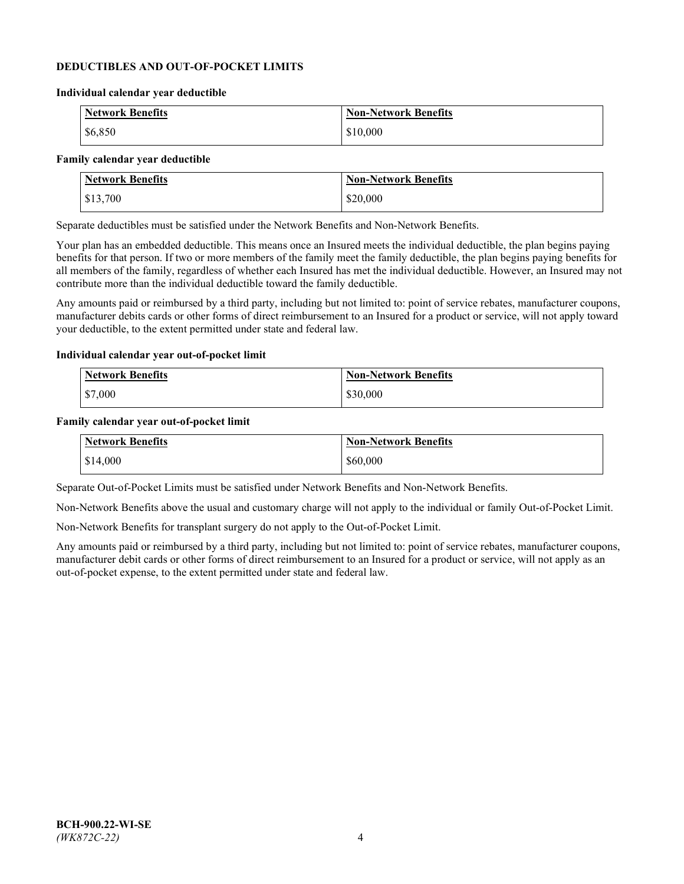### **DEDUCTIBLES AND OUT-OF-POCKET LIMITS**

#### **Individual calendar year deductible**

| <b>Network Benefits</b> | <b>Non-Network Benefits</b> |
|-------------------------|-----------------------------|
| \$6,850                 | \$10,000                    |

#### **Family calendar year deductible**

| <b>Network Benefits</b> | <b>Non-Network Benefits</b> |
|-------------------------|-----------------------------|
| \$13,700                | \$20,000                    |

Separate deductibles must be satisfied under the Network Benefits and Non-Network Benefits.

Your plan has an embedded deductible. This means once an Insured meets the individual deductible, the plan begins paying benefits for that person. If two or more members of the family meet the family deductible, the plan begins paying benefits for all members of the family, regardless of whether each Insured has met the individual deductible. However, an Insured may not contribute more than the individual deductible toward the family deductible.

Any amounts paid or reimbursed by a third party, including but not limited to: point of service rebates, manufacturer coupons, manufacturer debits cards or other forms of direct reimbursement to an Insured for a product or service, will not apply toward your deductible, to the extent permitted under state and federal law.

### **Individual calendar year out-of-pocket limit**

| Network Benefits | <b>Non-Network Benefits</b> |
|------------------|-----------------------------|
| \$7,000          | \$30,000                    |

#### **Family calendar year out-of-pocket limit**

| <b>Network Benefits</b> | <b>Non-Network Benefits</b> |
|-------------------------|-----------------------------|
| \$14,000                | \$60,000                    |

Separate Out-of-Pocket Limits must be satisfied under Network Benefits and Non-Network Benefits.

Non-Network Benefits above the usual and customary charge will not apply to the individual or family Out-of-Pocket Limit.

Non-Network Benefits for transplant surgery do not apply to the Out-of-Pocket Limit.

Any amounts paid or reimbursed by a third party, including but not limited to: point of service rebates, manufacturer coupons, manufacturer debit cards or other forms of direct reimbursement to an Insured for a product or service, will not apply as an out-of-pocket expense, to the extent permitted under state and federal law.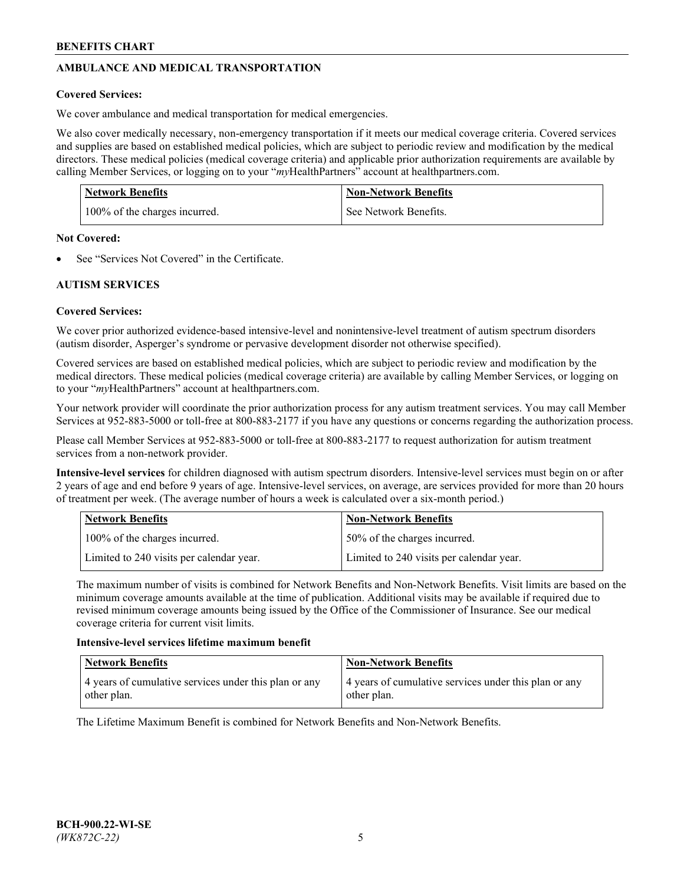# **AMBULANCE AND MEDICAL TRANSPORTATION**

## **Covered Services:**

We cover ambulance and medical transportation for medical emergencies.

We also cover medically necessary, non-emergency transportation if it meets our medical coverage criteria. Covered services and supplies are based on established medical policies, which are subject to periodic review and modification by the medical directors. These medical policies (medical coverage criteria) and applicable prior authorization requirements are available by calling Member Services, or logging on to your "*my*HealthPartners" account a[t healthpartners.com.](https://www.healthpartners.com/hp/index.html)

| <b>Network Benefits</b>       | <b>Non-Network Benefits</b> |
|-------------------------------|-----------------------------|
| 100% of the charges incurred. | See Network Benefits.       |

## **Not Covered:**

See "Services Not Covered" in the Certificate.

## **AUTISM SERVICES**

## **Covered Services:**

We cover prior authorized evidence-based intensive-level and nonintensive-level treatment of autism spectrum disorders (autism disorder, Asperger's syndrome or pervasive development disorder not otherwise specified).

Covered services are based on established medical policies, which are subject to periodic review and modification by the medical directors. These medical policies (medical coverage criteria) are available by calling Member Services, or logging on to your "*my*HealthPartners" account at [healthpartners.com.](https://www.healthpartners.com/hp/index.html)

Your network provider will coordinate the prior authorization process for any autism treatment services. You may call Member Services at 952-883-5000 or toll-free at 800-883-2177 if you have any questions or concerns regarding the authorization process.

Please call Member Services at 952-883-5000 or toll-free at 800-883-2177 to request authorization for autism treatment services from a non-network provider.

**Intensive-level services** for children diagnosed with autism spectrum disorders. Intensive-level services must begin on or after 2 years of age and end before 9 years of age. Intensive-level services, on average, are services provided for more than 20 hours of treatment per week. (The average number of hours a week is calculated over a six-month period.)

| Network Benefits                         | <b>Non-Network Benefits</b>              |
|------------------------------------------|------------------------------------------|
| 100% of the charges incurred.            | 50% of the charges incurred.             |
| Limited to 240 visits per calendar year. | Limited to 240 visits per calendar year. |

The maximum number of visits is combined for Network Benefits and Non-Network Benefits. Visit limits are based on the minimum coverage amounts available at the time of publication. Additional visits may be available if required due to revised minimum coverage amounts being issued by the Office of the Commissioner of Insurance. See our medical coverage criteria for current visit limits.

## **Intensive-level services lifetime maximum benefit**

| Network Benefits                                                     | <b>Non-Network Benefits</b>                                          |
|----------------------------------------------------------------------|----------------------------------------------------------------------|
| 4 years of cumulative services under this plan or any<br>other plan. | 4 years of cumulative services under this plan or any<br>other plan. |

The Lifetime Maximum Benefit is combined for Network Benefits and Non-Network Benefits.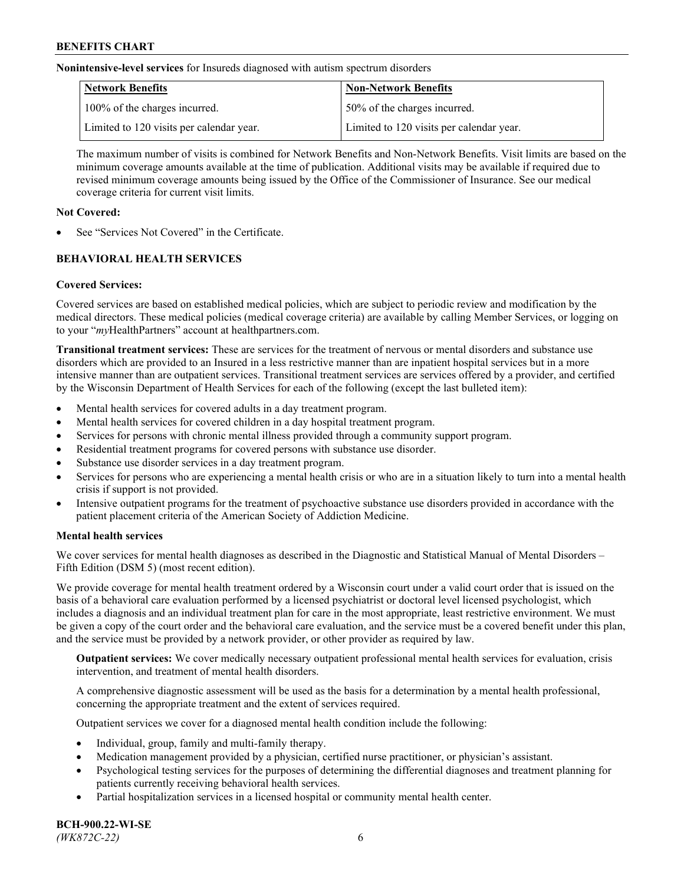**Nonintensive-level services** for Insureds diagnosed with autism spectrum disorders

| Network Benefits                         | <b>Non-Network Benefits</b>              |
|------------------------------------------|------------------------------------------|
| 100% of the charges incurred.            | 50% of the charges incurred.             |
| Limited to 120 visits per calendar year. | Limited to 120 visits per calendar year. |

The maximum number of visits is combined for Network Benefits and Non-Network Benefits. Visit limits are based on the minimum coverage amounts available at the time of publication. Additional visits may be available if required due to revised minimum coverage amounts being issued by the Office of the Commissioner of Insurance. See our medical coverage criteria for current visit limits.

## **Not Covered:**

See "Services Not Covered" in the Certificate.

## **BEHAVIORAL HEALTH SERVICES**

## **Covered Services:**

Covered services are based on established medical policies, which are subject to periodic review and modification by the medical directors. These medical policies (medical coverage criteria) are available by calling Member Services, or logging on to your "*my*HealthPartners" account at [healthpartners.com.](https://www.healthpartners.com/hp/index.html)

**Transitional treatment services:** These are services for the treatment of nervous or mental disorders and substance use disorders which are provided to an Insured in a less restrictive manner than are inpatient hospital services but in a more intensive manner than are outpatient services. Transitional treatment services are services offered by a provider, and certified by the Wisconsin Department of Health Services for each of the following (except the last bulleted item):

- Mental health services for covered adults in a day treatment program.
- Mental health services for covered children in a day hospital treatment program.
- Services for persons with chronic mental illness provided through a community support program.
- Residential treatment programs for covered persons with substance use disorder.
- Substance use disorder services in a day treatment program.
- Services for persons who are experiencing a mental health crisis or who are in a situation likely to turn into a mental health crisis if support is not provided.
- Intensive outpatient programs for the treatment of psychoactive substance use disorders provided in accordance with the patient placement criteria of the American Society of Addiction Medicine.

## **Mental health services**

We cover services for mental health diagnoses as described in the Diagnostic and Statistical Manual of Mental Disorders – Fifth Edition (DSM 5) (most recent edition).

We provide coverage for mental health treatment ordered by a Wisconsin court under a valid court order that is issued on the basis of a behavioral care evaluation performed by a licensed psychiatrist or doctoral level licensed psychologist, which includes a diagnosis and an individual treatment plan for care in the most appropriate, least restrictive environment. We must be given a copy of the court order and the behavioral care evaluation, and the service must be a covered benefit under this plan, and the service must be provided by a network provider, or other provider as required by law.

**Outpatient services:** We cover medically necessary outpatient professional mental health services for evaluation, crisis intervention, and treatment of mental health disorders.

A comprehensive diagnostic assessment will be used as the basis for a determination by a mental health professional, concerning the appropriate treatment and the extent of services required.

Outpatient services we cover for a diagnosed mental health condition include the following:

- Individual, group, family and multi-family therapy.
- Medication management provided by a physician, certified nurse practitioner, or physician's assistant.
- Psychological testing services for the purposes of determining the differential diagnoses and treatment planning for patients currently receiving behavioral health services.
- Partial hospitalization services in a licensed hospital or community mental health center.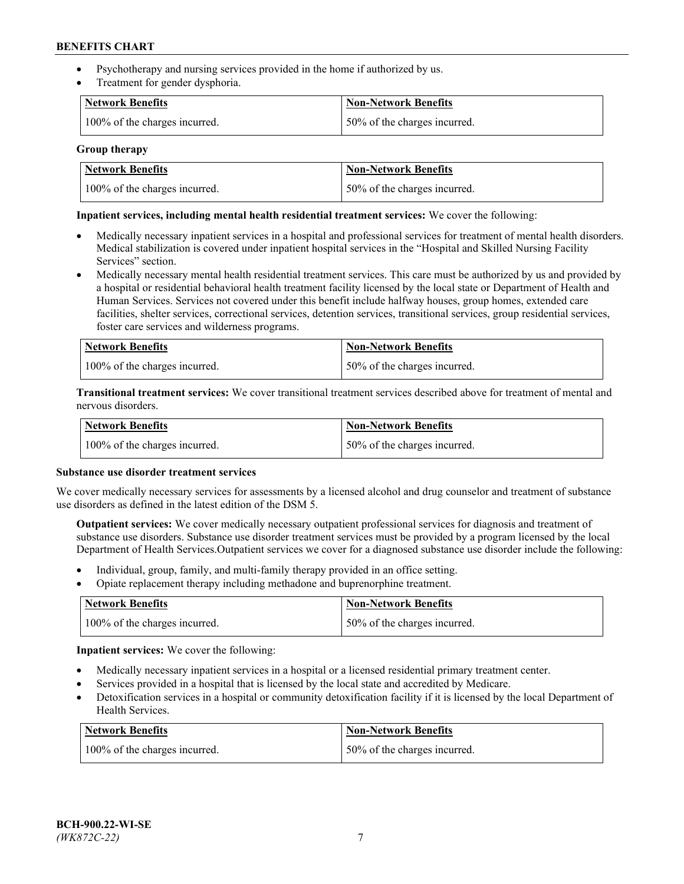- Psychotherapy and nursing services provided in the home if authorized by us.
- Treatment for gender dysphoria.

| <b>Network Benefits</b>       | <b>Non-Network Benefits</b>  |
|-------------------------------|------------------------------|
| 100% of the charges incurred. | 50% of the charges incurred. |

### **Group therapy**

| Network Benefits              | Non-Network Benefits          |
|-------------------------------|-------------------------------|
| 100% of the charges incurred. | 150% of the charges incurred. |

### **Inpatient services, including mental health residential treatment services:** We cover the following:

- Medically necessary inpatient services in a hospital and professional services for treatment of mental health disorders. Medical stabilization is covered under inpatient hospital services in the "Hospital and Skilled Nursing Facility Services" section.
- Medically necessary mental health residential treatment services. This care must be authorized by us and provided by a hospital or residential behavioral health treatment facility licensed by the local state or Department of Health and Human Services. Services not covered under this benefit include halfway houses, group homes, extended care facilities, shelter services, correctional services, detention services, transitional services, group residential services, foster care services and wilderness programs.

| <b>Network Benefits</b>       | Non-Network Benefits         |
|-------------------------------|------------------------------|
| 100% of the charges incurred. | 50% of the charges incurred. |

**Transitional treatment services:** We cover transitional treatment services described above for treatment of mental and nervous disorders.

| <b>Network Benefits</b>       | Non-Network Benefits         |
|-------------------------------|------------------------------|
| 100% of the charges incurred. | 50% of the charges incurred. |

#### **Substance use disorder treatment services**

We cover medically necessary services for assessments by a licensed alcohol and drug counselor and treatment of substance use disorders as defined in the latest edition of the DSM 5.

**Outpatient services:** We cover medically necessary outpatient professional services for diagnosis and treatment of substance use disorders. Substance use disorder treatment services must be provided by a program licensed by the local Department of Health Services.Outpatient services we cover for a diagnosed substance use disorder include the following:

- Individual, group, family, and multi-family therapy provided in an office setting.
- Opiate replacement therapy including methadone and buprenorphine treatment.

| Network Benefits              | Non-Network Benefits         |
|-------------------------------|------------------------------|
| 100% of the charges incurred. | 50% of the charges incurred. |

**Inpatient services:** We cover the following:

- Medically necessary inpatient services in a hospital or a licensed residential primary treatment center.
- Services provided in a hospital that is licensed by the local state and accredited by Medicare.
- Detoxification services in a hospital or community detoxification facility if it is licensed by the local Department of Health Services.

| Network Benefits              | <b>Non-Network Benefits</b>  |
|-------------------------------|------------------------------|
| 100% of the charges incurred. | 50% of the charges incurred. |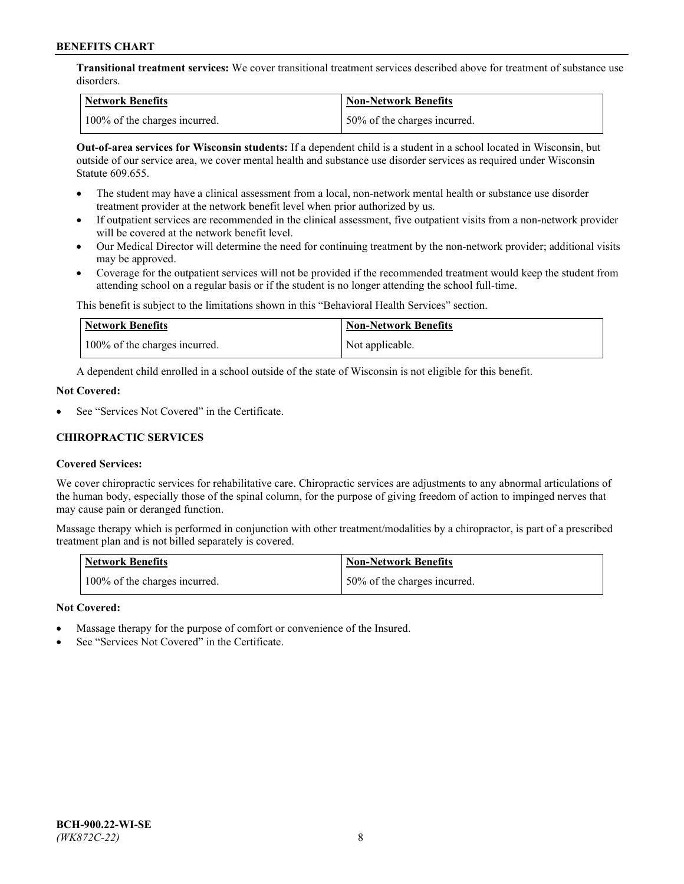**Transitional treatment services:** We cover transitional treatment services described above for treatment of substance use disorders.

| Network Benefits              | Non-Network Benefits          |
|-------------------------------|-------------------------------|
| 100% of the charges incurred. | 150% of the charges incurred. |

**Out-of-area services for Wisconsin students:** If a dependent child is a student in a school located in Wisconsin, but outside of our service area, we cover mental health and substance use disorder services as required under Wisconsin Statute 609.655.

- The student may have a clinical assessment from a local, non-network mental health or substance use disorder treatment provider at the network benefit level when prior authorized by us.
- If outpatient services are recommended in the clinical assessment, five outpatient visits from a non-network provider will be covered at the network benefit level.
- Our Medical Director will determine the need for continuing treatment by the non-network provider; additional visits may be approved.
- Coverage for the outpatient services will not be provided if the recommended treatment would keep the student from attending school on a regular basis or if the student is no longer attending the school full-time.

This benefit is subject to the limitations shown in this "Behavioral Health Services" section.

| Network Benefits              | <b>Non-Network Benefits</b> |
|-------------------------------|-----------------------------|
| 100% of the charges incurred. | Not applicable.             |

A dependent child enrolled in a school outside of the state of Wisconsin is not eligible for this benefit.

### **Not Covered:**

See "Services Not Covered" in the Certificate.

## **CHIROPRACTIC SERVICES**

## **Covered Services:**

We cover chiropractic services for rehabilitative care. Chiropractic services are adjustments to any abnormal articulations of the human body, especially those of the spinal column, for the purpose of giving freedom of action to impinged nerves that may cause pain or deranged function.

Massage therapy which is performed in conjunction with other treatment/modalities by a chiropractor, is part of a prescribed treatment plan and is not billed separately is covered.

| <b>Network Benefits</b>       | <b>Non-Network Benefits</b>  |
|-------------------------------|------------------------------|
| 100% of the charges incurred. | 50% of the charges incurred. |

#### **Not Covered:**

- Massage therapy for the purpose of comfort or convenience of the Insured.
- See "Services Not Covered" in the Certificate.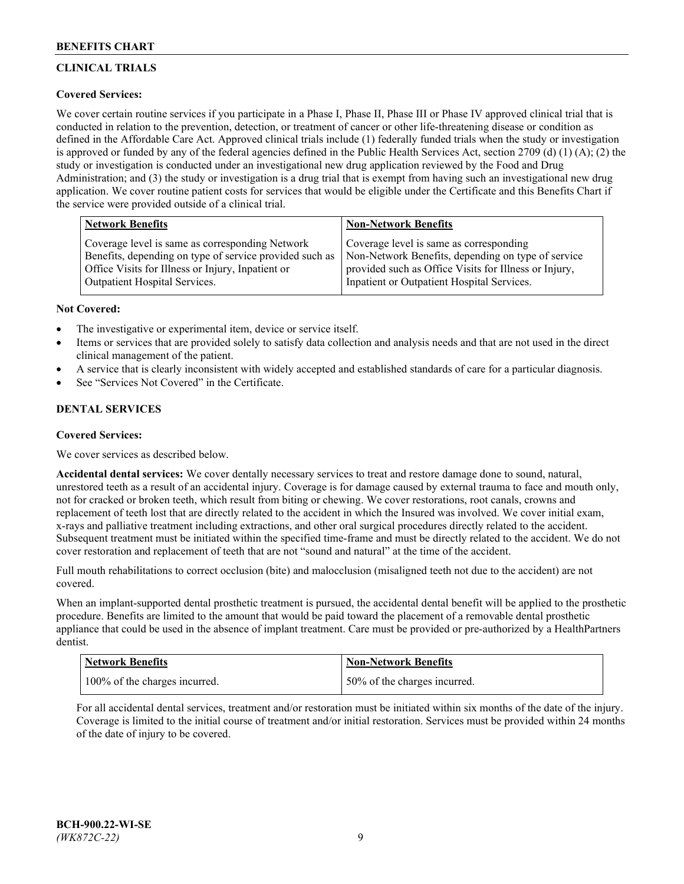# **CLINICAL TRIALS**

## **Covered Services:**

We cover certain routine services if you participate in a Phase I, Phase II, Phase III or Phase IV approved clinical trial that is conducted in relation to the prevention, detection, or treatment of cancer or other life-threatening disease or condition as defined in the Affordable Care Act. Approved clinical trials include (1) federally funded trials when the study or investigation is approved or funded by any of the federal agencies defined in the Public Health Services Act, section 2709 (d) (1) (A); (2) the study or investigation is conducted under an investigational new drug application reviewed by the Food and Drug Administration; and (3) the study or investigation is a drug trial that is exempt from having such an investigational new drug application. We cover routine patient costs for services that would be eligible under the Certificate and this Benefits Chart if the service were provided outside of a clinical trial.

| <b>Network Benefits</b>                                 | <b>Non-Network Benefits</b>                           |
|---------------------------------------------------------|-------------------------------------------------------|
| Coverage level is same as corresponding Network         | Coverage level is same as corresponding               |
| Benefits, depending on type of service provided such as | Non-Network Benefits, depending on type of service    |
| Office Visits for Illness or Injury, Inpatient or       | provided such as Office Visits for Illness or Injury, |
| Outpatient Hospital Services.                           | Inpatient or Outpatient Hospital Services.            |

### **Not Covered:**

- The investigative or experimental item, device or service itself.
- Items or services that are provided solely to satisfy data collection and analysis needs and that are not used in the direct clinical management of the patient.
- A service that is clearly inconsistent with widely accepted and established standards of care for a particular diagnosis.
- See "Services Not Covered" in the Certificate.

## **DENTAL SERVICES**

## **Covered Services:**

We cover services as described below.

**Accidental dental services:** We cover dentally necessary services to treat and restore damage done to sound, natural, unrestored teeth as a result of an accidental injury. Coverage is for damage caused by external trauma to face and mouth only, not for cracked or broken teeth, which result from biting or chewing. We cover restorations, root canals, crowns and replacement of teeth lost that are directly related to the accident in which the Insured was involved. We cover initial exam, x-rays and palliative treatment including extractions, and other oral surgical procedures directly related to the accident. Subsequent treatment must be initiated within the specified time-frame and must be directly related to the accident. We do not cover restoration and replacement of teeth that are not "sound and natural" at the time of the accident.

Full mouth rehabilitations to correct occlusion (bite) and malocclusion (misaligned teeth not due to the accident) are not covered.

When an implant-supported dental prosthetic treatment is pursued, the accidental dental benefit will be applied to the prosthetic procedure. Benefits are limited to the amount that would be paid toward the placement of a removable dental prosthetic appliance that could be used in the absence of implant treatment. Care must be provided or pre-authorized by a HealthPartners dentist.

| <b>Network Benefits</b>       | <b>Non-Network Benefits</b>  |
|-------------------------------|------------------------------|
| 100% of the charges incurred. | 50% of the charges incurred. |

For all accidental dental services, treatment and/or restoration must be initiated within six months of the date of the injury. Coverage is limited to the initial course of treatment and/or initial restoration. Services must be provided within 24 months of the date of injury to be covered.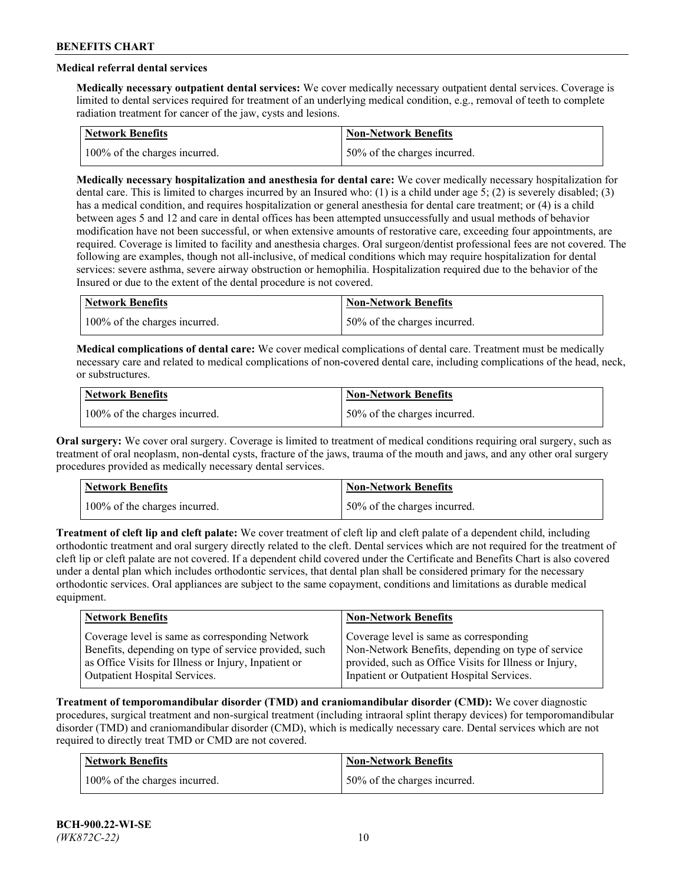## **Medical referral dental services**

**Medically necessary outpatient dental services:** We cover medically necessary outpatient dental services. Coverage is limited to dental services required for treatment of an underlying medical condition, e.g., removal of teeth to complete radiation treatment for cancer of the jaw, cysts and lesions.

| Network Benefits              | <b>Non-Network Benefits</b>  |
|-------------------------------|------------------------------|
| 100% of the charges incurred. | 50% of the charges incurred. |

**Medically necessary hospitalization and anesthesia for dental care:** We cover medically necessary hospitalization for dental care. This is limited to charges incurred by an Insured who: (1) is a child under age 5; (2) is severely disabled; (3) has a medical condition, and requires hospitalization or general anesthesia for dental care treatment; or (4) is a child between ages 5 and 12 and care in dental offices has been attempted unsuccessfully and usual methods of behavior modification have not been successful, or when extensive amounts of restorative care, exceeding four appointments, are required. Coverage is limited to facility and anesthesia charges. Oral surgeon/dentist professional fees are not covered. The following are examples, though not all-inclusive, of medical conditions which may require hospitalization for dental services: severe asthma, severe airway obstruction or hemophilia. Hospitalization required due to the behavior of the Insured or due to the extent of the dental procedure is not covered.

| Network Benefits              | <b>Non-Network Benefits</b>  |
|-------------------------------|------------------------------|
| 100% of the charges incurred. | 50% of the charges incurred. |

**Medical complications of dental care:** We cover medical complications of dental care. Treatment must be medically necessary care and related to medical complications of non-covered dental care, including complications of the head, neck, or substructures.

| <b>Network Benefits</b>       | Non-Network Benefits         |
|-------------------------------|------------------------------|
| 100% of the charges incurred. | 50% of the charges incurred. |

**Oral surgery:** We cover oral surgery. Coverage is limited to treatment of medical conditions requiring oral surgery, such as treatment of oral neoplasm, non-dental cysts, fracture of the jaws, trauma of the mouth and jaws, and any other oral surgery procedures provided as medically necessary dental services.

| Network Benefits              | <b>Non-Network Benefits</b>   |
|-------------------------------|-------------------------------|
| 100% of the charges incurred. | 150% of the charges incurred. |

**Treatment of cleft lip and cleft palate:** We cover treatment of cleft lip and cleft palate of a dependent child, including orthodontic treatment and oral surgery directly related to the cleft. Dental services which are not required for the treatment of cleft lip or cleft palate are not covered. If a dependent child covered under the Certificate and Benefits Chart is also covered under a dental plan which includes orthodontic services, that dental plan shall be considered primary for the necessary orthodontic services. Oral appliances are subject to the same copayment, conditions and limitations as durable medical equipment.

| <b>Network Benefits</b>                               | <b>Non-Network Benefits</b>                            |
|-------------------------------------------------------|--------------------------------------------------------|
| Coverage level is same as corresponding Network       | Coverage level is same as corresponding                |
| Benefits, depending on type of service provided, such | Non-Network Benefits, depending on type of service     |
| as Office Visits for Illness or Injury, Inpatient or  | provided, such as Office Visits for Illness or Injury, |
| Outpatient Hospital Services.                         | Inpatient or Outpatient Hospital Services.             |

**Treatment of temporomandibular disorder (TMD) and craniomandibular disorder (CMD):** We cover diagnostic procedures, surgical treatment and non-surgical treatment (including intraoral splint therapy devices) for temporomandibular disorder (TMD) and craniomandibular disorder (CMD), which is medically necessary care. Dental services which are not required to directly treat TMD or CMD are not covered.

| <b>Network Benefits</b>       | <b>Non-Network Benefits</b>   |
|-------------------------------|-------------------------------|
| 100% of the charges incurred. | 150% of the charges incurred. |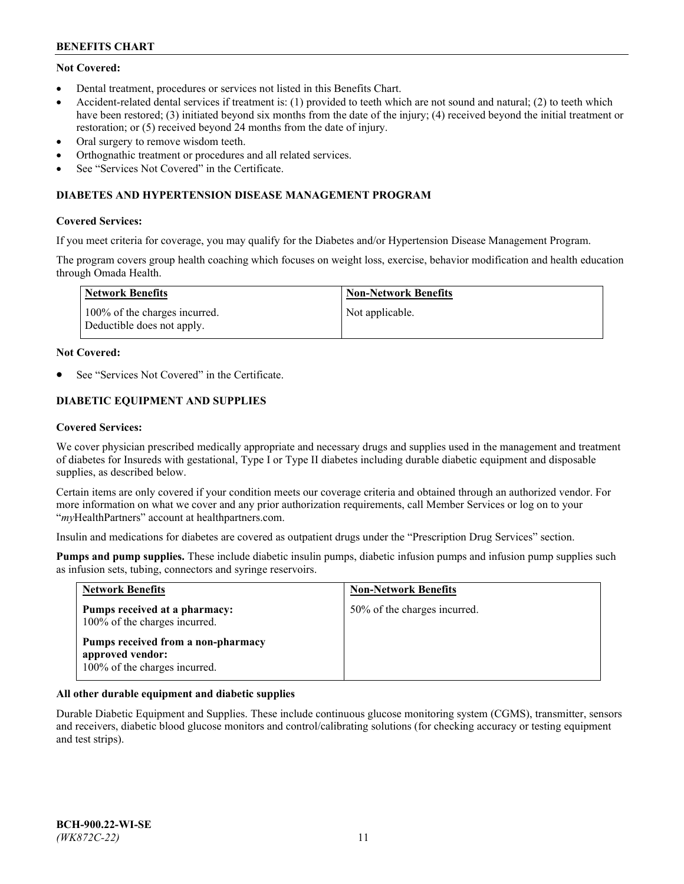## **Not Covered:**

- Dental treatment, procedures or services not listed in this Benefits Chart.
- Accident-related dental services if treatment is: (1) provided to teeth which are not sound and natural; (2) to teeth which have been restored; (3) initiated beyond six months from the date of the injury; (4) received beyond the initial treatment or restoration; or (5) received beyond 24 months from the date of injury.
- Oral surgery to remove wisdom teeth.
- Orthognathic treatment or procedures and all related services.
- See "Services Not Covered" in the Certificate.

### **DIABETES AND HYPERTENSION DISEASE MANAGEMENT PROGRAM**

### **Covered Services:**

If you meet criteria for coverage, you may qualify for the Diabetes and/or Hypertension Disease Management Program.

The program covers group health coaching which focuses on weight loss, exercise, behavior modification and health education through Omada Health.

| <b>Network Benefits</b>                                     | <b>Non-Network Benefits</b> |
|-------------------------------------------------------------|-----------------------------|
| 100% of the charges incurred.<br>Deductible does not apply. | Not applicable.             |

### **Not Covered:**

See "Services Not Covered" in the Certificate.

## **DIABETIC EQUIPMENT AND SUPPLIES**

### **Covered Services:**

We cover physician prescribed medically appropriate and necessary drugs and supplies used in the management and treatment of diabetes for Insureds with gestational, Type I or Type II diabetes including durable diabetic equipment and disposable supplies, as described below.

Certain items are only covered if your condition meets our coverage criteria and obtained through an authorized vendor. For more information on what we cover and any prior authorization requirements, call Member Services or log on to your "*my*HealthPartners" account at [healthpartners.com.](http://www.healthpartners.com/)

Insulin and medications for diabetes are covered as outpatient drugs under the "Prescription Drug Services" section.

**Pumps and pump supplies.** These include diabetic insulin pumps, diabetic infusion pumps and infusion pump supplies such as infusion sets, tubing, connectors and syringe reservoirs.

| <b>Network Benefits</b>                                                                 | <b>Non-Network Benefits</b>  |
|-----------------------------------------------------------------------------------------|------------------------------|
| Pumps received at a pharmacy:<br>100% of the charges incurred.                          | 50% of the charges incurred. |
| Pumps received from a non-pharmacy<br>approved vendor:<br>100% of the charges incurred. |                              |

## **All other durable equipment and diabetic supplies**

Durable Diabetic Equipment and Supplies. These include continuous glucose monitoring system (CGMS), transmitter, sensors and receivers, diabetic blood glucose monitors and control/calibrating solutions (for checking accuracy or testing equipment and test strips).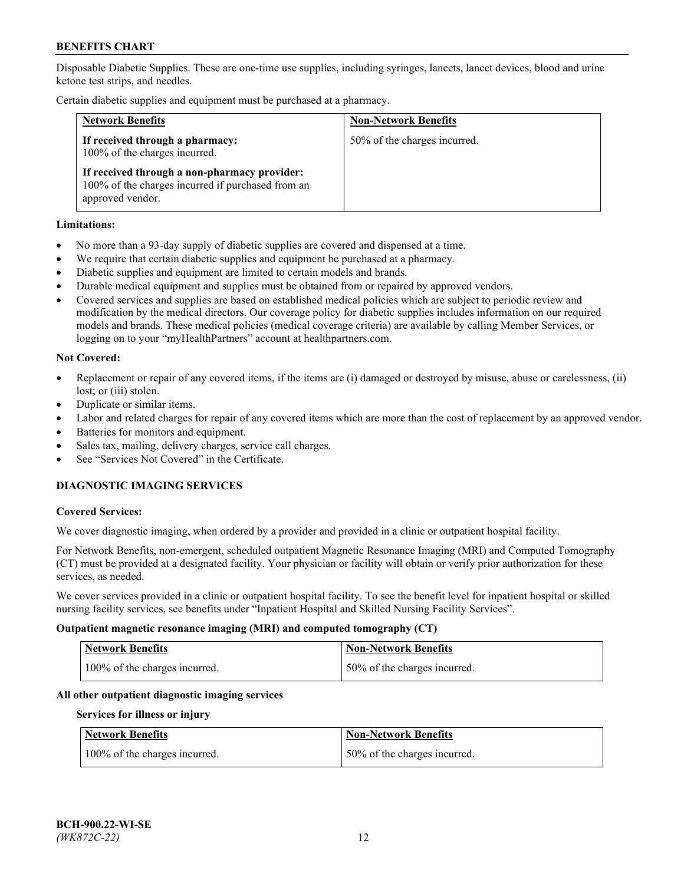Disposable Diabetic Supplies. These are one-time use supplies, including syringes, lancets, lancet devices, blood and urine ketone test strips, and needles.

Certain diabetic supplies and equipment must be purchased at a pharmacy.

| <b>Network Benefits</b>                                                                                               | <b>Non-Network Benefits</b>  |
|-----------------------------------------------------------------------------------------------------------------------|------------------------------|
| If received through a pharmacy:<br>100% of the charges incurred.                                                      | 50% of the charges incurred. |
| If received through a non-pharmacy provider:<br>100% of the charges incurred if purchased from an<br>approved vendor. |                              |

### **Limitations:**

- No more than a 93-day supply of diabetic supplies are covered and dispensed at a time.
- We require that certain diabetic supplies and equipment be purchased at a pharmacy.
- Diabetic supplies and equipment are limited to certain models and brands.
- Durable medical equipment and supplies must be obtained from or repaired by approved vendors.
- Covered services and supplies are based on established medical policies which are subject to periodic review and modification by the medical directors. Our coverage policy for diabetic supplies includes information on our required models and brands. These medical policies (medical coverage criteria) are available by calling Member Services, or logging on to your "myHealthPartners" account at [healthpartners.com.](http://www.healthpartners.com/)

### **Not Covered:**

- Replacement or repair of any covered items, if the items are (i) damaged or destroyed by misuse, abuse or carelessness, (ii) lost; or (iii) stolen.
- Duplicate or similar items.
- Labor and related charges for repair of any covered items which are more than the cost of replacement by an approved vendor.
- Batteries for monitors and equipment.
- Sales tax, mailing, delivery charges, service call charges.
- See "Services Not Covered" in the Certificate.

## **DIAGNOSTIC IMAGING SERVICES**

#### **Covered Services:**

We cover diagnostic imaging, when ordered by a provider and provided in a clinic or outpatient hospital facility.

For Network Benefits, non-emergent, scheduled outpatient Magnetic Resonance Imaging (MRI) and Computed Tomography (CT) must be provided at a designated facility. Your physician or facility will obtain or verify prior authorization for these services, as needed.

We cover services provided in a clinic or outpatient hospital facility. To see the benefit level for inpatient hospital or skilled nursing facility services, see benefits under "Inpatient Hospital and Skilled Nursing Facility Services".

#### **Outpatient magnetic resonance imaging (MRI) and computed tomography (CT)**

| <b>Network Benefits</b>       | <b>Non-Network Benefits</b>  |
|-------------------------------|------------------------------|
| 100% of the charges incurred. | 50% of the charges incurred. |

#### **All other outpatient diagnostic imaging services**

#### **Services for illness or injury**

| <b>Network Benefits</b>       | <b>Non-Network Benefits</b>  |
|-------------------------------|------------------------------|
| 100% of the charges incurred. | 50% of the charges incurred. |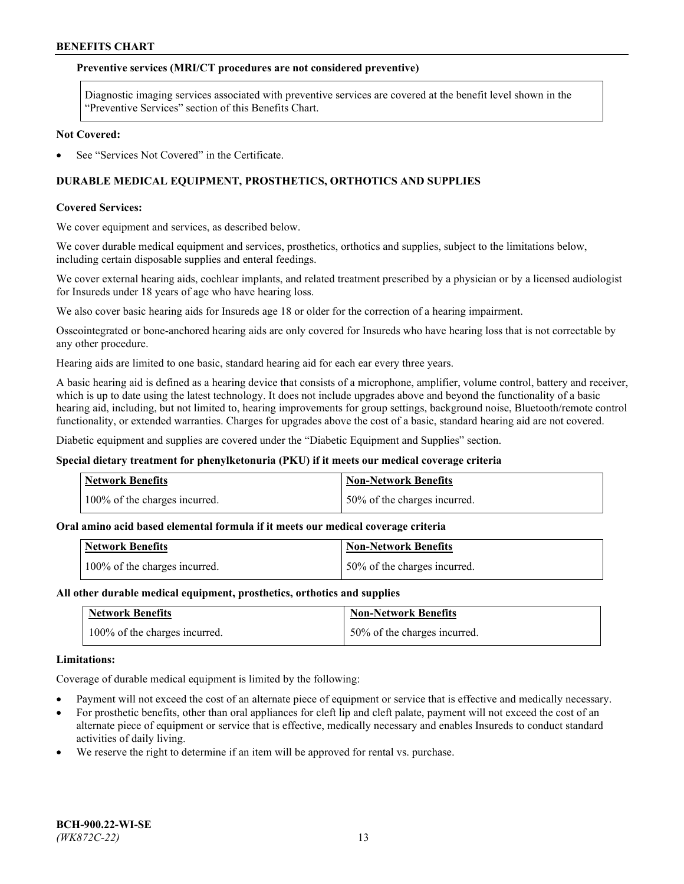### **Preventive services (MRI/CT procedures are not considered preventive)**

Diagnostic imaging services associated with preventive services are covered at the benefit level shown in the "Preventive Services" section of this Benefits Chart.

#### **Not Covered:**

See "Services Not Covered" in the Certificate.

## **DURABLE MEDICAL EQUIPMENT, PROSTHETICS, ORTHOTICS AND SUPPLIES**

### **Covered Services:**

We cover equipment and services, as described below.

We cover durable medical equipment and services, prosthetics, orthotics and supplies, subject to the limitations below, including certain disposable supplies and enteral feedings.

We cover external hearing aids, cochlear implants, and related treatment prescribed by a physician or by a licensed audiologist for Insureds under 18 years of age who have hearing loss.

We also cover basic hearing aids for Insureds age 18 or older for the correction of a hearing impairment.

Osseointegrated or bone-anchored hearing aids are only covered for Insureds who have hearing loss that is not correctable by any other procedure.

Hearing aids are limited to one basic, standard hearing aid for each ear every three years.

A basic hearing aid is defined as a hearing device that consists of a microphone, amplifier, volume control, battery and receiver, which is up to date using the latest technology. It does not include upgrades above and beyond the functionality of a basic hearing aid, including, but not limited to, hearing improvements for group settings, background noise, Bluetooth/remote control functionality, or extended warranties. Charges for upgrades above the cost of a basic, standard hearing aid are not covered.

Diabetic equipment and supplies are covered under the "Diabetic Equipment and Supplies" section.

#### **Special dietary treatment for phenylketonuria (PKU) if it meets our medical coverage criteria**

| <b>Network Benefits</b>       | <b>Non-Network Benefits</b>  |
|-------------------------------|------------------------------|
| 100% of the charges incurred. | 50% of the charges incurred. |

## **Oral amino acid based elemental formula if it meets our medical coverage criteria**

| <b>Network Benefits</b>       | Non-Network Benefits         |
|-------------------------------|------------------------------|
| 100% of the charges incurred. | 50% of the charges incurred. |

#### **All other durable medical equipment, prosthetics, orthotics and supplies**

| <b>Network Benefits</b>       | <b>Non-Network Benefits</b>  |
|-------------------------------|------------------------------|
| 100% of the charges incurred. | 50% of the charges incurred. |

#### **Limitations:**

Coverage of durable medical equipment is limited by the following:

- Payment will not exceed the cost of an alternate piece of equipment or service that is effective and medically necessary.
- For prosthetic benefits, other than oral appliances for cleft lip and cleft palate, payment will not exceed the cost of an alternate piece of equipment or service that is effective, medically necessary and enables Insureds to conduct standard activities of daily living.
- We reserve the right to determine if an item will be approved for rental vs. purchase.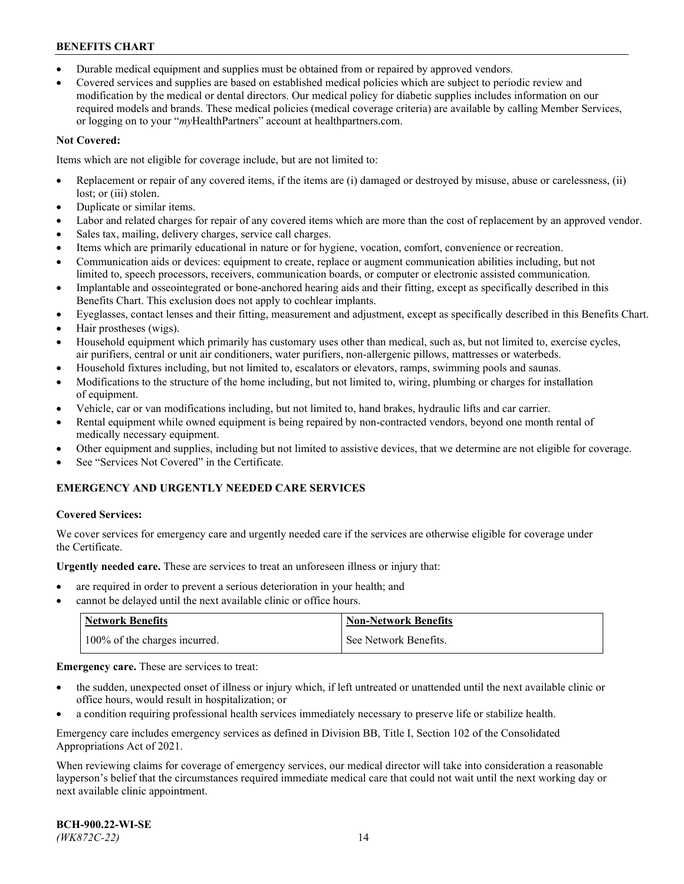- Durable medical equipment and supplies must be obtained from or repaired by approved vendors.
- Covered services and supplies are based on established medical policies which are subject to periodic review and modification by the medical or dental directors. Our medical policy for diabetic supplies includes information on our required models and brands. These medical policies (medical coverage criteria) are available by calling Member Services, or logging on to your "*my*HealthPartners" account a[t healthpartners.com.](http://www.healthpartners.com/)

## **Not Covered:**

Items which are not eligible for coverage include, but are not limited to:

- Replacement or repair of any covered items, if the items are (i) damaged or destroyed by misuse, abuse or carelessness, (ii) lost; or (iii) stolen.
- Duplicate or similar items.
- Labor and related charges for repair of any covered items which are more than the cost of replacement by an approved vendor.
- Sales tax, mailing, delivery charges, service call charges.
- Items which are primarily educational in nature or for hygiene, vocation, comfort, convenience or recreation.
- Communication aids or devices: equipment to create, replace or augment communication abilities including, but not limited to, speech processors, receivers, communication boards, or computer or electronic assisted communication.
- Implantable and osseointegrated or bone-anchored hearing aids and their fitting, except as specifically described in this Benefits Chart. This exclusion does not apply to cochlear implants.
- Eyeglasses, contact lenses and their fitting, measurement and adjustment, except as specifically described in this Benefits Chart.
- Hair prostheses (wigs).
- Household equipment which primarily has customary uses other than medical, such as, but not limited to, exercise cycles, air purifiers, central or unit air conditioners, water purifiers, non-allergenic pillows, mattresses or waterbeds.
- Household fixtures including, but not limited to, escalators or elevators, ramps, swimming pools and saunas.
- Modifications to the structure of the home including, but not limited to, wiring, plumbing or charges for installation of equipment.
- Vehicle, car or van modifications including, but not limited to, hand brakes, hydraulic lifts and car carrier.
- Rental equipment while owned equipment is being repaired by non-contracted vendors, beyond one month rental of medically necessary equipment.
- Other equipment and supplies, including but not limited to assistive devices, that we determine are not eligible for coverage.
- See "Services Not Covered" in the Certificate.

## **EMERGENCY AND URGENTLY NEEDED CARE SERVICES**

## **Covered Services:**

We cover services for emergency care and urgently needed care if the services are otherwise eligible for coverage under the Certificate.

**Urgently needed care.** These are services to treat an unforeseen illness or injury that:

- are required in order to prevent a serious deterioration in your health; and
- cannot be delayed until the next available clinic or office hours.

| <b>Network Benefits</b>       | <b>Non-Network Benefits</b> |
|-------------------------------|-----------------------------|
| 100% of the charges incurred. | See Network Benefits.       |

**Emergency care.** These are services to treat:

- the sudden, unexpected onset of illness or injury which, if left untreated or unattended until the next available clinic or office hours, would result in hospitalization; or
- a condition requiring professional health services immediately necessary to preserve life or stabilize health.

Emergency care includes emergency services as defined in Division BB, Title I, Section 102 of the Consolidated Appropriations Act of 2021.

When reviewing claims for coverage of emergency services, our medical director will take into consideration a reasonable layperson's belief that the circumstances required immediate medical care that could not wait until the next working day or next available clinic appointment.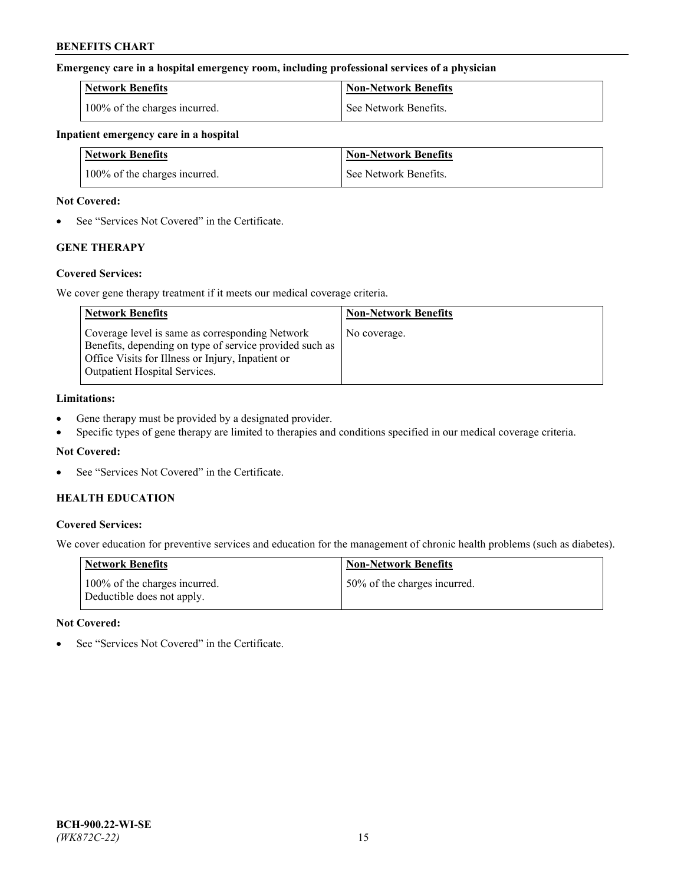### **Emergency care in a hospital emergency room, including professional services of a physician**

| <b>Network Benefits</b>       | <b>Non-Network Benefits</b> |
|-------------------------------|-----------------------------|
| 100% of the charges incurred. | See Network Benefits.       |

### **Inpatient emergency care in a hospital**

| <b>Network Benefits</b>       | <b>Non-Network Benefits</b> |
|-------------------------------|-----------------------------|
| 100% of the charges incurred. | See Network Benefits.       |

### **Not Covered:**

• See "Services Not Covered" in the Certificate.

## **GENE THERAPY**

## **Covered Services:**

We cover gene therapy treatment if it meets our medical coverage criteria.

| <b>Network Benefits</b>                                                                                                                                                                          | <b>Non-Network Benefits</b> |
|--------------------------------------------------------------------------------------------------------------------------------------------------------------------------------------------------|-----------------------------|
| Coverage level is same as corresponding Network<br>Benefits, depending on type of service provided such as<br>Office Visits for Illness or Injury, Inpatient or<br>Outpatient Hospital Services. | No coverage.                |

### **Limitations:**

- Gene therapy must be provided by a designated provider.
- Specific types of gene therapy are limited to therapies and conditions specified in our medical coverage criteria.

## **Not Covered:**

See "Services Not Covered" in the Certificate.

## **HEALTH EDUCATION**

## **Covered Services:**

We cover education for preventive services and education for the management of chronic health problems (such as diabetes).

| <b>Network Benefits</b>                                     | <b>Non-Network Benefits</b>  |
|-------------------------------------------------------------|------------------------------|
| 100% of the charges incurred.<br>Deductible does not apply. | 50% of the charges incurred. |

#### **Not Covered:**

See "Services Not Covered" in the Certificate.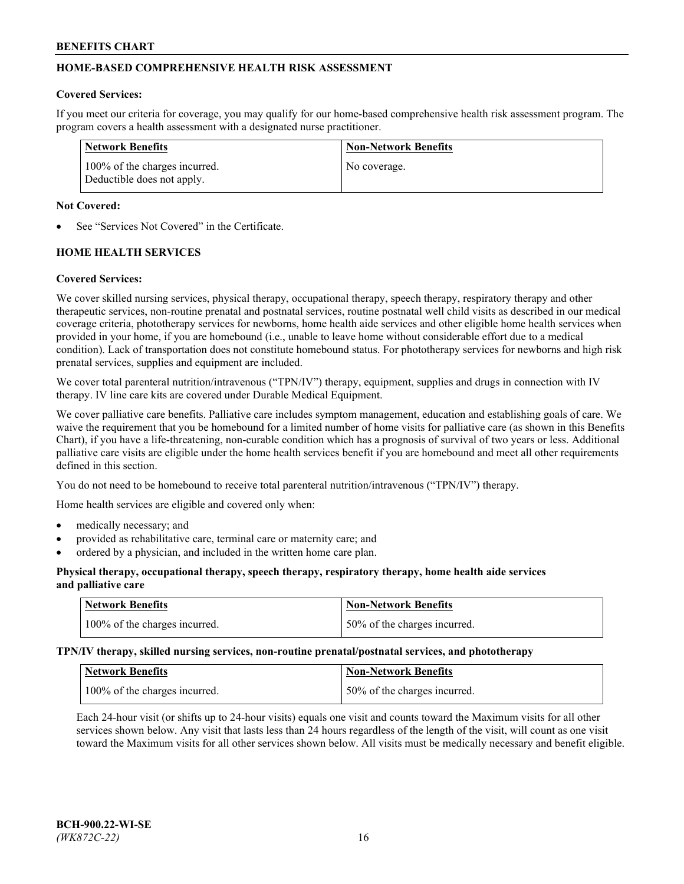## **HOME-BASED COMPREHENSIVE HEALTH RISK ASSESSMENT**

### **Covered Services:**

If you meet our criteria for coverage, you may qualify for our home-based comprehensive health risk assessment program. The program covers a health assessment with a designated nurse practitioner.

| Network Benefits                                            | <b>Non-Network Benefits</b> |
|-------------------------------------------------------------|-----------------------------|
| 100% of the charges incurred.<br>Deductible does not apply. | No coverage.                |

### **Not Covered:**

See "Services Not Covered" in the Certificate.

## **HOME HEALTH SERVICES**

### **Covered Services:**

We cover skilled nursing services, physical therapy, occupational therapy, speech therapy, respiratory therapy and other therapeutic services, non-routine prenatal and postnatal services, routine postnatal well child visits as described in our medical coverage criteria, phototherapy services for newborns, home health aide services and other eligible home health services when provided in your home, if you are homebound (i.e., unable to leave home without considerable effort due to a medical condition). Lack of transportation does not constitute homebound status. For phototherapy services for newborns and high risk prenatal services, supplies and equipment are included.

We cover total parenteral nutrition/intravenous ("TPN/IV") therapy, equipment, supplies and drugs in connection with IV therapy. IV line care kits are covered under Durable Medical Equipment.

We cover palliative care benefits. Palliative care includes symptom management, education and establishing goals of care. We waive the requirement that you be homebound for a limited number of home visits for palliative care (as shown in this Benefits Chart), if you have a life-threatening, non-curable condition which has a prognosis of survival of two years or less. Additional palliative care visits are eligible under the home health services benefit if you are homebound and meet all other requirements defined in this section.

You do not need to be homebound to receive total parenteral nutrition/intravenous ("TPN/IV") therapy.

Home health services are eligible and covered only when:

- medically necessary; and
- provided as rehabilitative care, terminal care or maternity care; and
- ordered by a physician, and included in the written home care plan.

### **Physical therapy, occupational therapy, speech therapy, respiratory therapy, home health aide services and palliative care**

| Network Benefits              | <b>Non-Network Benefits</b>  |
|-------------------------------|------------------------------|
| 100% of the charges incurred. | 50% of the charges incurred. |

**TPN/IV therapy, skilled nursing services, non-routine prenatal/postnatal services, and phototherapy**

| Network Benefits              | Non-Network Benefits         |
|-------------------------------|------------------------------|
| 100% of the charges incurred. | 50% of the charges incurred. |

Each 24-hour visit (or shifts up to 24-hour visits) equals one visit and counts toward the Maximum visits for all other services shown below. Any visit that lasts less than 24 hours regardless of the length of the visit, will count as one visit toward the Maximum visits for all other services shown below. All visits must be medically necessary and benefit eligible.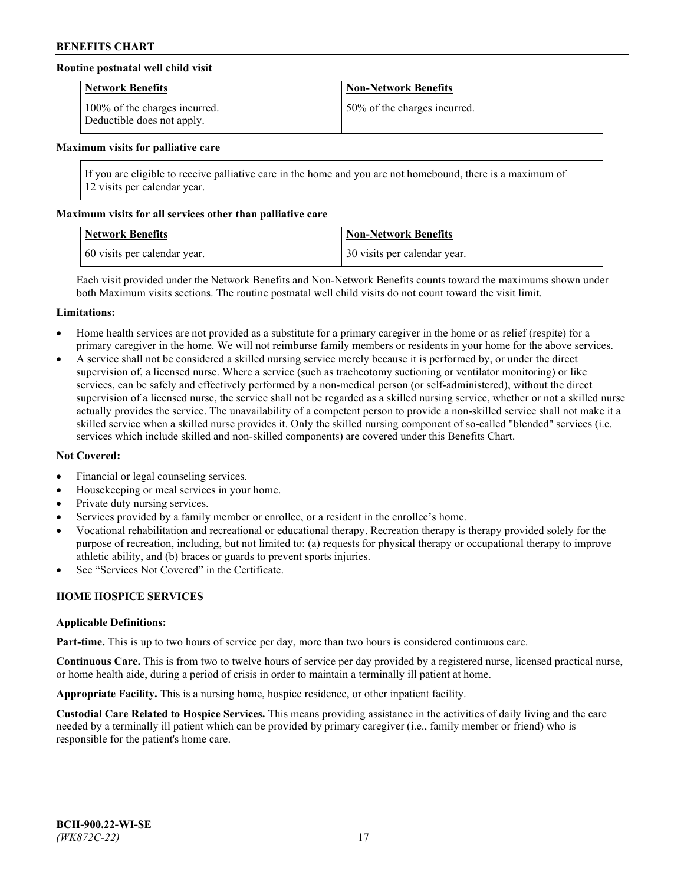## **Routine postnatal well child visit**

| <b>Network Benefits</b>                                     | <b>Non-Network Benefits</b>  |
|-------------------------------------------------------------|------------------------------|
| 100% of the charges incurred.<br>Deductible does not apply. | 50% of the charges incurred. |

#### **Maximum visits for palliative care**

If you are eligible to receive palliative care in the home and you are not homebound, there is a maximum of 12 visits per calendar year.

### **Maximum visits for all services other than palliative care**

| <b>Network Benefits</b>      | <b>Non-Network Benefits</b>  |
|------------------------------|------------------------------|
| 60 visits per calendar year. | 30 visits per calendar year. |

Each visit provided under the Network Benefits and Non-Network Benefits counts toward the maximums shown under both Maximum visits sections. The routine postnatal well child visits do not count toward the visit limit.

#### **Limitations:**

- Home health services are not provided as a substitute for a primary caregiver in the home or as relief (respite) for a primary caregiver in the home. We will not reimburse family members or residents in your home for the above services.
- A service shall not be considered a skilled nursing service merely because it is performed by, or under the direct supervision of, a licensed nurse. Where a service (such as tracheotomy suctioning or ventilator monitoring) or like services, can be safely and effectively performed by a non-medical person (or self-administered), without the direct supervision of a licensed nurse, the service shall not be regarded as a skilled nursing service, whether or not a skilled nurse actually provides the service. The unavailability of a competent person to provide a non-skilled service shall not make it a skilled service when a skilled nurse provides it. Only the skilled nursing component of so-called "blended" services (i.e. services which include skilled and non-skilled components) are covered under this Benefits Chart.

#### **Not Covered:**

- Financial or legal counseling services.
- Housekeeping or meal services in your home.
- Private duty nursing services.
- Services provided by a family member or enrollee, or a resident in the enrollee's home.
- Vocational rehabilitation and recreational or educational therapy. Recreation therapy is therapy provided solely for the purpose of recreation, including, but not limited to: (a) requests for physical therapy or occupational therapy to improve athletic ability, and (b) braces or guards to prevent sports injuries.
- See "Services Not Covered" in the Certificate.

## **HOME HOSPICE SERVICES**

#### **Applicable Definitions:**

**Part-time.** This is up to two hours of service per day, more than two hours is considered continuous care.

**Continuous Care.** This is from two to twelve hours of service per day provided by a registered nurse, licensed practical nurse, or home health aide, during a period of crisis in order to maintain a terminally ill patient at home.

**Appropriate Facility.** This is a nursing home, hospice residence, or other inpatient facility.

**Custodial Care Related to Hospice Services.** This means providing assistance in the activities of daily living and the care needed by a terminally ill patient which can be provided by primary caregiver (i.e., family member or friend) who is responsible for the patient's home care.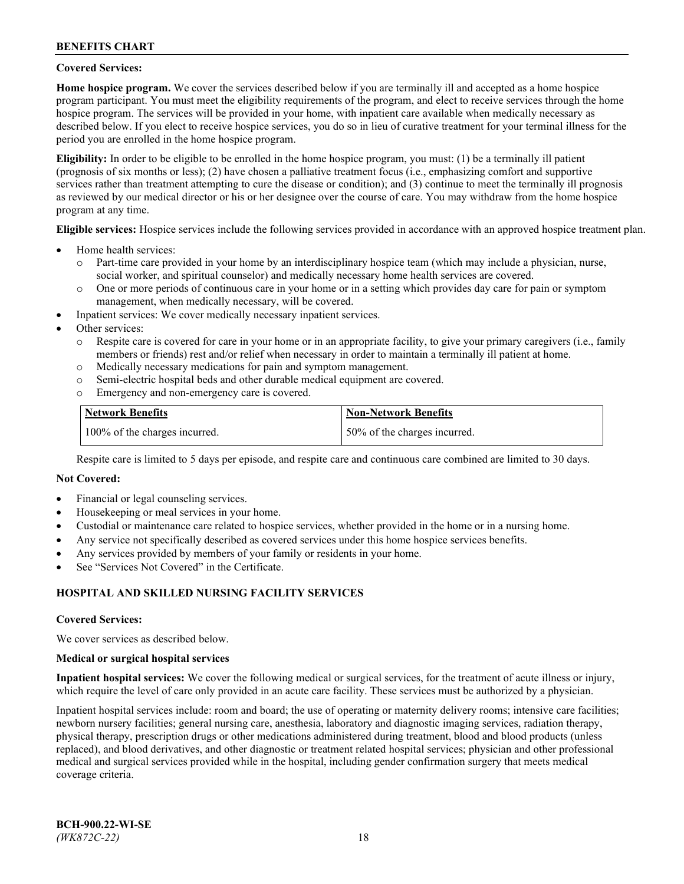### **Covered Services:**

**Home hospice program.** We cover the services described below if you are terminally ill and accepted as a home hospice program participant. You must meet the eligibility requirements of the program, and elect to receive services through the home hospice program. The services will be provided in your home, with inpatient care available when medically necessary as described below. If you elect to receive hospice services, you do so in lieu of curative treatment for your terminal illness for the period you are enrolled in the home hospice program.

**Eligibility:** In order to be eligible to be enrolled in the home hospice program, you must: (1) be a terminally ill patient (prognosis of six months or less); (2) have chosen a palliative treatment focus (i.e., emphasizing comfort and supportive services rather than treatment attempting to cure the disease or condition); and (3) continue to meet the terminally ill prognosis as reviewed by our medical director or his or her designee over the course of care. You may withdraw from the home hospice program at any time.

**Eligible services:** Hospice services include the following services provided in accordance with an approved hospice treatment plan.

- Home health services:
	- o Part-time care provided in your home by an interdisciplinary hospice team (which may include a physician, nurse, social worker, and spiritual counselor) and medically necessary home health services are covered.
	- o One or more periods of continuous care in your home or in a setting which provides day care for pain or symptom management, when medically necessary, will be covered.
- Inpatient services: We cover medically necessary inpatient services.
- Other services:
	- o Respite care is covered for care in your home or in an appropriate facility, to give your primary caregivers (i.e., family members or friends) rest and/or relief when necessary in order to maintain a terminally ill patient at home.
	- o Medically necessary medications for pain and symptom management.
	- o Semi-electric hospital beds and other durable medical equipment are covered.
	- Emergency and non-emergency care is covered.

| Network Benefits              | <b>Non-Network Benefits</b>  |
|-------------------------------|------------------------------|
| 100% of the charges incurred. | 50% of the charges incurred. |

Respite care is limited to 5 days per episode, and respite care and continuous care combined are limited to 30 days.

### **Not Covered:**

- Financial or legal counseling services.
- Housekeeping or meal services in your home.
- Custodial or maintenance care related to hospice services, whether provided in the home or in a nursing home.
- Any service not specifically described as covered services under this home hospice services benefits.
- Any services provided by members of your family or residents in your home.
- See "Services Not Covered" in the Certificate.

## **HOSPITAL AND SKILLED NURSING FACILITY SERVICES**

#### **Covered Services:**

We cover services as described below.

#### **Medical or surgical hospital services**

**Inpatient hospital services:** We cover the following medical or surgical services, for the treatment of acute illness or injury, which require the level of care only provided in an acute care facility. These services must be authorized by a physician.

Inpatient hospital services include: room and board; the use of operating or maternity delivery rooms; intensive care facilities; newborn nursery facilities; general nursing care, anesthesia, laboratory and diagnostic imaging services, radiation therapy, physical therapy, prescription drugs or other medications administered during treatment, blood and blood products (unless replaced), and blood derivatives, and other diagnostic or treatment related hospital services; physician and other professional medical and surgical services provided while in the hospital, including gender confirmation surgery that meets medical coverage criteria.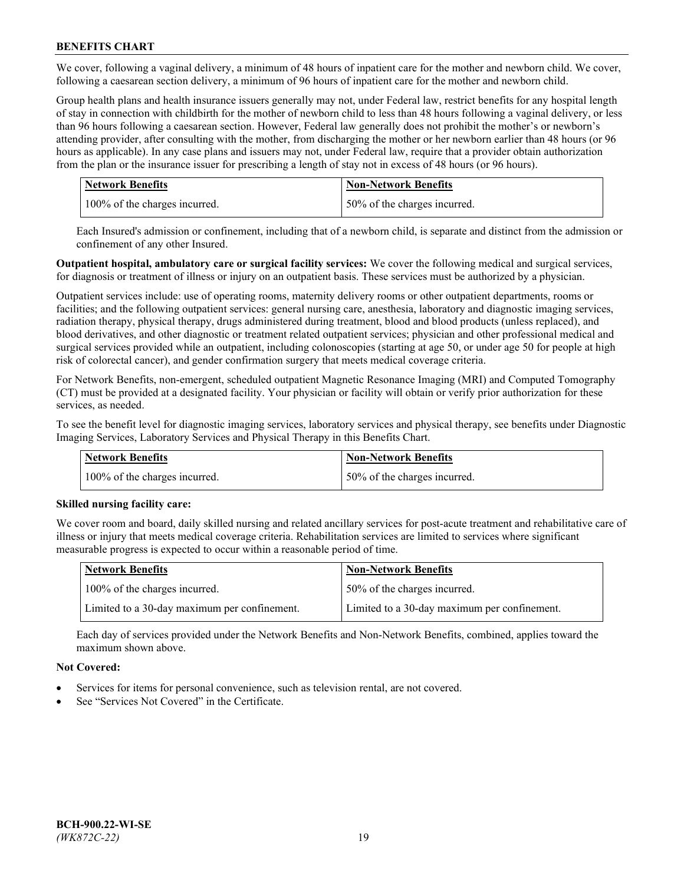We cover, following a vaginal delivery, a minimum of 48 hours of inpatient care for the mother and newborn child. We cover, following a caesarean section delivery, a minimum of 96 hours of inpatient care for the mother and newborn child.

Group health plans and health insurance issuers generally may not, under Federal law, restrict benefits for any hospital length of stay in connection with childbirth for the mother of newborn child to less than 48 hours following a vaginal delivery, or less than 96 hours following a caesarean section. However, Federal law generally does not prohibit the mother's or newborn's attending provider, after consulting with the mother, from discharging the mother or her newborn earlier than 48 hours (or 96 hours as applicable). In any case plans and issuers may not, under Federal law, require that a provider obtain authorization from the plan or the insurance issuer for prescribing a length of stay not in excess of 48 hours (or 96 hours).

| <b>Network Benefits</b>       | <b>Non-Network Benefits</b>  |
|-------------------------------|------------------------------|
| 100% of the charges incurred. | 50% of the charges incurred. |

Each Insured's admission or confinement, including that of a newborn child, is separate and distinct from the admission or confinement of any other Insured.

**Outpatient hospital, ambulatory care or surgical facility services:** We cover the following medical and surgical services, for diagnosis or treatment of illness or injury on an outpatient basis. These services must be authorized by a physician.

Outpatient services include: use of operating rooms, maternity delivery rooms or other outpatient departments, rooms or facilities; and the following outpatient services: general nursing care, anesthesia, laboratory and diagnostic imaging services, radiation therapy, physical therapy, drugs administered during treatment, blood and blood products (unless replaced), and blood derivatives, and other diagnostic or treatment related outpatient services; physician and other professional medical and surgical services provided while an outpatient, including colonoscopies (starting at age 50, or under age 50 for people at high risk of colorectal cancer), and gender confirmation surgery that meets medical coverage criteria.

For Network Benefits, non-emergent, scheduled outpatient Magnetic Resonance Imaging (MRI) and Computed Tomography (CT) must be provided at a designated facility. Your physician or facility will obtain or verify prior authorization for these services, as needed.

To see the benefit level for diagnostic imaging services, laboratory services and physical therapy, see benefits under Diagnostic Imaging Services, Laboratory Services and Physical Therapy in this Benefits Chart.

| <b>Network Benefits</b>       | <b>Non-Network Benefits</b>  |
|-------------------------------|------------------------------|
| 100% of the charges incurred. | 50% of the charges incurred. |

## **Skilled nursing facility care:**

We cover room and board, daily skilled nursing and related ancillary services for post-acute treatment and rehabilitative care of illness or injury that meets medical coverage criteria. Rehabilitation services are limited to services where significant measurable progress is expected to occur within a reasonable period of time.

| Network Benefits                             | <b>Non-Network Benefits</b>                  |
|----------------------------------------------|----------------------------------------------|
| 100% of the charges incurred.                | 50% of the charges incurred.                 |
| Limited to a 30-day maximum per confinement. | Limited to a 30-day maximum per confinement. |

Each day of services provided under the Network Benefits and Non-Network Benefits, combined, applies toward the maximum shown above.

## **Not Covered:**

- Services for items for personal convenience, such as television rental, are not covered.
- See "Services Not Covered" in the Certificate.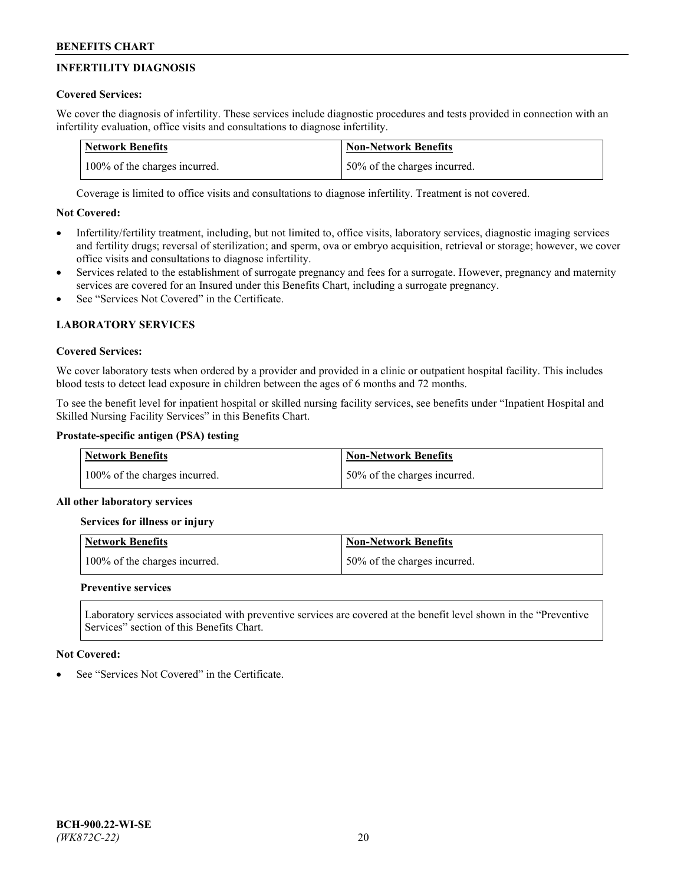# **INFERTILITY DIAGNOSIS**

## **Covered Services:**

We cover the diagnosis of infertility. These services include diagnostic procedures and tests provided in connection with an infertility evaluation, office visits and consultations to diagnose infertility.

| <b>Network Benefits</b>       | <b>Non-Network Benefits</b>  |
|-------------------------------|------------------------------|
| 100% of the charges incurred. | 50% of the charges incurred. |

Coverage is limited to office visits and consultations to diagnose infertility. Treatment is not covered.

## **Not Covered:**

- Infertility/fertility treatment, including, but not limited to, office visits, laboratory services, diagnostic imaging services and fertility drugs; reversal of sterilization; and sperm, ova or embryo acquisition, retrieval or storage; however, we cover office visits and consultations to diagnose infertility.
- Services related to the establishment of surrogate pregnancy and fees for a surrogate. However, pregnancy and maternity services are covered for an Insured under this Benefits Chart, including a surrogate pregnancy.
- See "Services Not Covered" in the Certificate

# **LABORATORY SERVICES**

## **Covered Services:**

We cover laboratory tests when ordered by a provider and provided in a clinic or outpatient hospital facility. This includes blood tests to detect lead exposure in children between the ages of 6 months and 72 months.

To see the benefit level for inpatient hospital or skilled nursing facility services, see benefits under "Inpatient Hospital and Skilled Nursing Facility Services" in this Benefits Chart.

## **Prostate-specific antigen (PSA) testing**

| <b>Network Benefits</b>       | <b>Non-Network Benefits</b>  |
|-------------------------------|------------------------------|
| 100% of the charges incurred. | 50% of the charges incurred. |

## **All other laboratory services**

**Services for illness or injury**

| <b>Network Benefits</b>       | 'Non-Network Benefits        |
|-------------------------------|------------------------------|
| 100% of the charges incurred. | 50% of the charges incurred. |

## **Preventive services**

Laboratory services associated with preventive services are covered at the benefit level shown in the "Preventive Services" section of this Benefits Chart.

## **Not Covered:**

See "Services Not Covered" in the Certificate.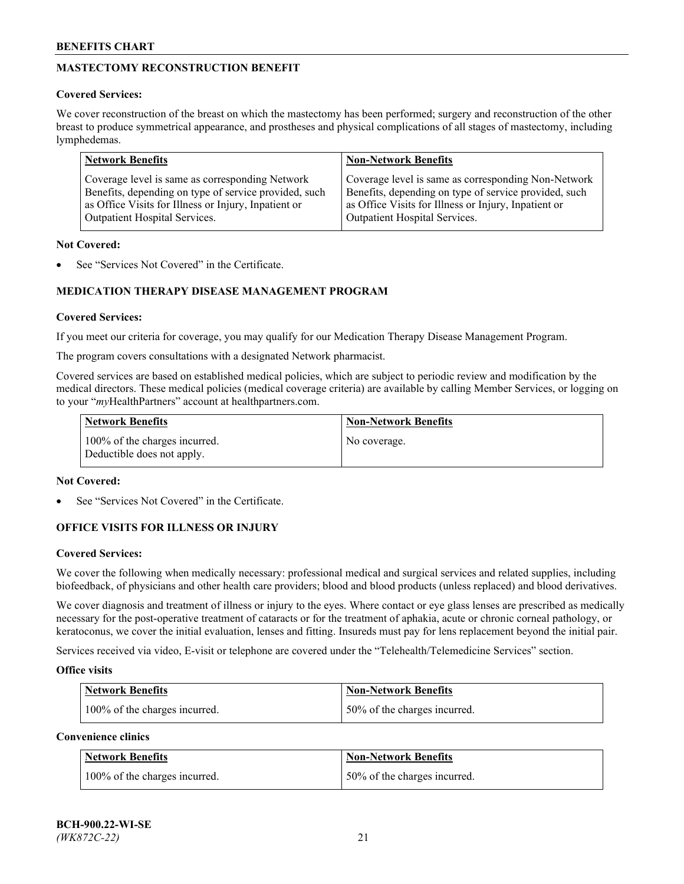# **MASTECTOMY RECONSTRUCTION BENEFIT**

## **Covered Services:**

We cover reconstruction of the breast on which the mastectomy has been performed; surgery and reconstruction of the other breast to produce symmetrical appearance, and prostheses and physical complications of all stages of mastectomy, including lymphedemas.

| <b>Network Benefits</b>                               | <b>Non-Network Benefits</b>                           |
|-------------------------------------------------------|-------------------------------------------------------|
| Coverage level is same as corresponding Network       | Coverage level is same as corresponding Non-Network   |
| Benefits, depending on type of service provided, such | Benefits, depending on type of service provided, such |
| as Office Visits for Illness or Injury, Inpatient or  | as Office Visits for Illness or Injury, Inpatient or  |
| Outpatient Hospital Services.                         | Outpatient Hospital Services.                         |

### **Not Covered:**

See "Services Not Covered" in the Certificate.

## **MEDICATION THERAPY DISEASE MANAGEMENT PROGRAM**

## **Covered Services:**

If you meet our criteria for coverage, you may qualify for our Medication Therapy Disease Management Program.

The program covers consultations with a designated Network pharmacist.

Covered services are based on established medical policies, which are subject to periodic review and modification by the medical directors. These medical policies (medical coverage criteria) are available by calling Member Services, or logging on to your "*my*HealthPartners" account at [healthpartners.com.](http://www.healthpartners.com/)

| Network Benefits                                            | <b>Non-Network Benefits</b> |
|-------------------------------------------------------------|-----------------------------|
| 100% of the charges incurred.<br>Deductible does not apply. | No coverage.                |

### **Not Covered:**

See "Services Not Covered" in the Certificate.

## **OFFICE VISITS FOR ILLNESS OR INJURY**

#### **Covered Services:**

We cover the following when medically necessary: professional medical and surgical services and related supplies, including biofeedback, of physicians and other health care providers; blood and blood products (unless replaced) and blood derivatives.

We cover diagnosis and treatment of illness or injury to the eyes. Where contact or eye glass lenses are prescribed as medically necessary for the post-operative treatment of cataracts or for the treatment of aphakia, acute or chronic corneal pathology, or keratoconus, we cover the initial evaluation, lenses and fitting. Insureds must pay for lens replacement beyond the initial pair.

Services received via video, E-visit or telephone are covered under the "Telehealth/Telemedicine Services" section.

#### **Office visits**

| <b>Network Benefits</b>       | <b>Non-Network Benefits</b>  |
|-------------------------------|------------------------------|
| 100% of the charges incurred. | 50% of the charges incurred. |

**Convenience clinics**

| <b>Network Benefits</b>       | <b>Non-Network Benefits</b>   |
|-------------------------------|-------------------------------|
| 100% of the charges incurred. | 150% of the charges incurred. |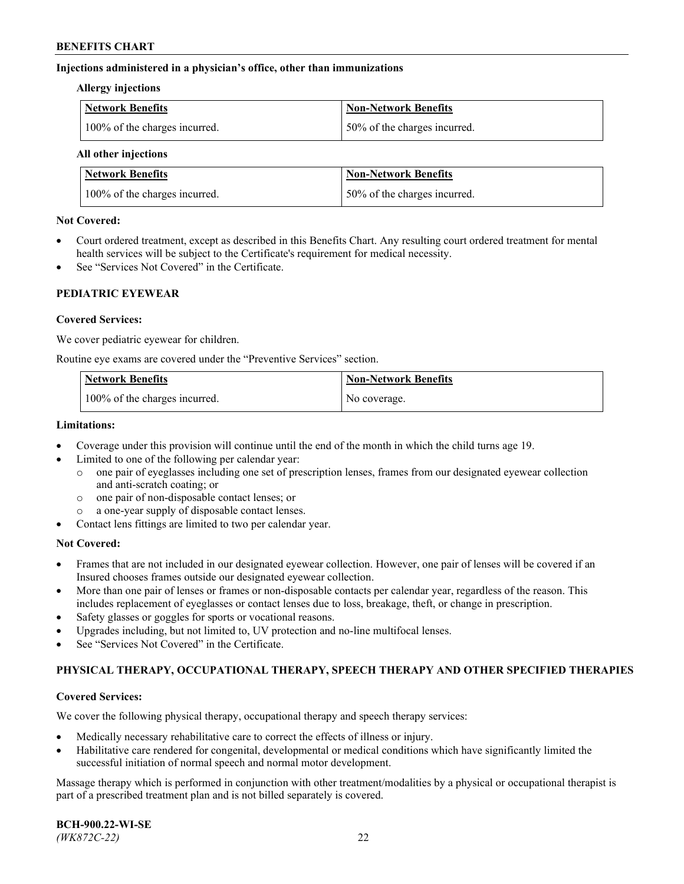### **Injections administered in a physician's office, other than immunizations**

#### **Allergy injections**

| Network Benefits              | <b>Non-Network Benefits</b>  |
|-------------------------------|------------------------------|
| 100% of the charges incurred. | 50% of the charges incurred. |

#### **All other injections**

| <b>Network Benefits</b>       | <b>Non-Network Benefits</b>  |
|-------------------------------|------------------------------|
| 100% of the charges incurred. | 50% of the charges incurred. |

### **Not Covered:**

- Court ordered treatment, except as described in this Benefits Chart. Any resulting court ordered treatment for mental health services will be subject to the Certificate's requirement for medical necessity.
- See "Services Not Covered" in the Certificate.

### **PEDIATRIC EYEWEAR**

### **Covered Services:**

We cover pediatric eyewear for children.

Routine eye exams are covered under the "Preventive Services" section.

| Network Benefits              | <b>Non-Network Benefits</b> |
|-------------------------------|-----------------------------|
| 100% of the charges incurred. | No coverage.                |

### **Limitations:**

- Coverage under this provision will continue until the end of the month in which the child turns age 19.
- Limited to one of the following per calendar year:
	- o one pair of eyeglasses including one set of prescription lenses, frames from our designated eyewear collection and anti-scratch coating; or
	- o one pair of non-disposable contact lenses; or
	- o a one-year supply of disposable contact lenses.
- Contact lens fittings are limited to two per calendar year.

## **Not Covered:**

- Frames that are not included in our designated eyewear collection. However, one pair of lenses will be covered if an Insured chooses frames outside our designated eyewear collection.
- More than one pair of lenses or frames or non-disposable contacts per calendar year, regardless of the reason. This includes replacement of eyeglasses or contact lenses due to loss, breakage, theft, or change in prescription.
- Safety glasses or goggles for sports or vocational reasons.
- Upgrades including, but not limited to, UV protection and no-line multifocal lenses.
- See "Services Not Covered" in the Certificate.

## **PHYSICAL THERAPY, OCCUPATIONAL THERAPY, SPEECH THERAPY AND OTHER SPECIFIED THERAPIES**

#### **Covered Services:**

We cover the following physical therapy, occupational therapy and speech therapy services:

- Medically necessary rehabilitative care to correct the effects of illness or injury.
- Habilitative care rendered for congenital, developmental or medical conditions which have significantly limited the successful initiation of normal speech and normal motor development.

Massage therapy which is performed in conjunction with other treatment/modalities by a physical or occupational therapist is part of a prescribed treatment plan and is not billed separately is covered.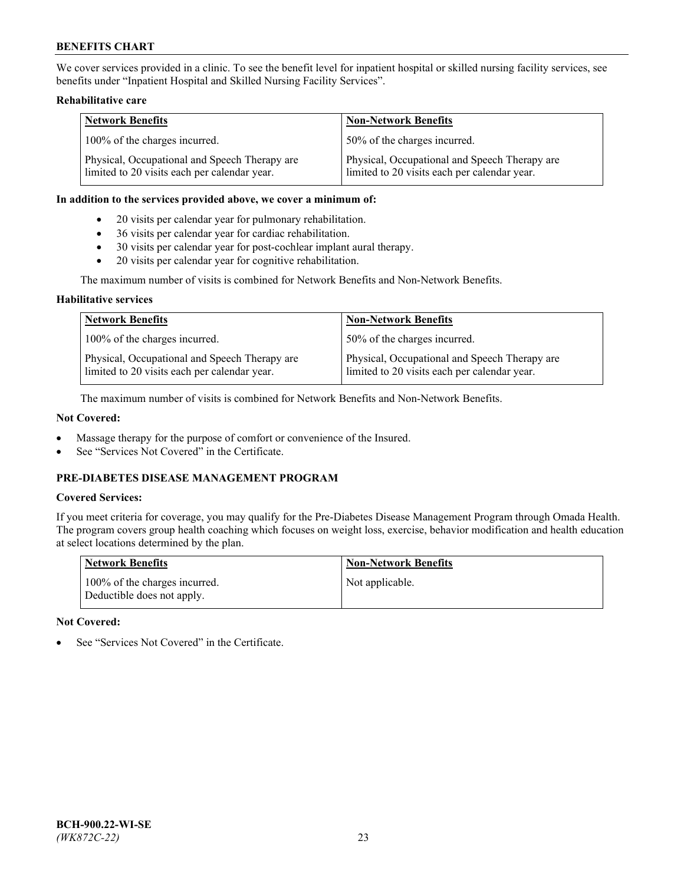We cover services provided in a clinic. To see the benefit level for inpatient hospital or skilled nursing facility services, see benefits under "Inpatient Hospital and Skilled Nursing Facility Services".

## **Rehabilitative care**

| <b>Network Benefits</b>                                                                       | <b>Non-Network Benefits</b>                                                                   |
|-----------------------------------------------------------------------------------------------|-----------------------------------------------------------------------------------------------|
| 100% of the charges incurred.                                                                 | 50% of the charges incurred.                                                                  |
| Physical, Occupational and Speech Therapy are<br>limited to 20 visits each per calendar year. | Physical, Occupational and Speech Therapy are<br>limited to 20 visits each per calendar year. |

### **In addition to the services provided above, we cover a minimum of:**

- 20 visits per calendar year for pulmonary rehabilitation.
- 36 visits per calendar year for cardiac rehabilitation.
- 30 visits per calendar year for post-cochlear implant aural therapy.
- 20 visits per calendar year for cognitive rehabilitation.

The maximum number of visits is combined for Network Benefits and Non-Network Benefits.

### **Habilitative services**

| <b>Network Benefits</b>                                                                       | <b>Non-Network Benefits</b>                                                                   |
|-----------------------------------------------------------------------------------------------|-----------------------------------------------------------------------------------------------|
| 100% of the charges incurred.                                                                 | 50% of the charges incurred.                                                                  |
| Physical, Occupational and Speech Therapy are<br>limited to 20 visits each per calendar year. | Physical, Occupational and Speech Therapy are<br>limited to 20 visits each per calendar year. |

The maximum number of visits is combined for Network Benefits and Non-Network Benefits.

## **Not Covered:**

- Massage therapy for the purpose of comfort or convenience of the Insured.
- See "Services Not Covered" in the Certificate.

## **PRE-DIABETES DISEASE MANAGEMENT PROGRAM**

## **Covered Services:**

If you meet criteria for coverage, you may qualify for the Pre-Diabetes Disease Management Program through Omada Health. The program covers group health coaching which focuses on weight loss, exercise, behavior modification and health education at select locations determined by the plan.

| <b>Network Benefits</b>                                     | <b>Non-Network Benefits</b> |
|-------------------------------------------------------------|-----------------------------|
| 100% of the charges incurred.<br>Deductible does not apply. | Not applicable.             |

## **Not Covered:**

See "Services Not Covered" in the Certificate.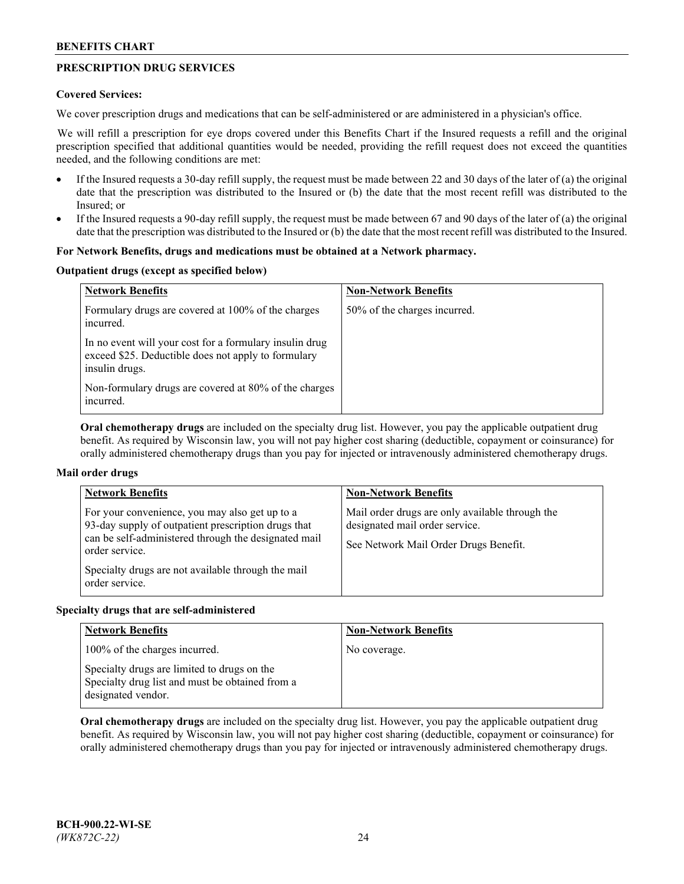## **PRESCRIPTION DRUG SERVICES**

### **Covered Services:**

We cover prescription drugs and medications that can be self-administered or are administered in a physician's office.

We will refill a prescription for eye drops covered under this Benefits Chart if the Insured requests a refill and the original prescription specified that additional quantities would be needed, providing the refill request does not exceed the quantities needed, and the following conditions are met:

- If the Insured requests a 30-day refill supply, the request must be made between 22 and 30 days of the later of (a) the original date that the prescription was distributed to the Insured or (b) the date that the most recent refill was distributed to the Insured; or
- If the Insured requests a 90-day refill supply, the request must be made between 67 and 90 days of the later of (a) the original date that the prescription was distributed to the Insured or (b) the date that the most recent refill was distributed to the Insured.

### **For Network Benefits, drugs and medications must be obtained at a Network pharmacy.**

### **Outpatient drugs (except as specified below)**

| <b>Network Benefits</b>                                                                                                          | <b>Non-Network Benefits</b>  |
|----------------------------------------------------------------------------------------------------------------------------------|------------------------------|
| Formulary drugs are covered at 100% of the charges<br>incurred.                                                                  | 50% of the charges incurred. |
| In no event will your cost for a formulary insulin drug<br>exceed \$25. Deductible does not apply to formulary<br>insulin drugs. |                              |
| Non-formulary drugs are covered at 80% of the charges<br>incurred.                                                               |                              |

**Oral chemotherapy drugs** are included on the specialty drug list. However, you pay the applicable outpatient drug benefit. As required by Wisconsin law, you will not pay higher cost sharing (deductible, copayment or coinsurance) for orally administered chemotherapy drugs than you pay for injected or intravenously administered chemotherapy drugs.

## **Mail order drugs**

| <b>Network Benefits</b>                                                                                                                                                                                                                                 | <b>Non-Network Benefits</b>                                                                                                |
|---------------------------------------------------------------------------------------------------------------------------------------------------------------------------------------------------------------------------------------------------------|----------------------------------------------------------------------------------------------------------------------------|
| For your convenience, you may also get up to a<br>93-day supply of outpatient prescription drugs that<br>can be self-administered through the designated mail<br>order service.<br>Specialty drugs are not available through the mail<br>order service. | Mail order drugs are only available through the<br>designated mail order service.<br>See Network Mail Order Drugs Benefit. |

#### **Specialty drugs that are self-administered**

| <b>Network Benefits</b>                                                                                              | <b>Non-Network Benefits</b> |
|----------------------------------------------------------------------------------------------------------------------|-----------------------------|
| 100% of the charges incurred.                                                                                        | No coverage.                |
| Specialty drugs are limited to drugs on the<br>Specialty drug list and must be obtained from a<br>designated vendor. |                             |

**Oral chemotherapy drugs** are included on the specialty drug list. However, you pay the applicable outpatient drug benefit. As required by Wisconsin law, you will not pay higher cost sharing (deductible, copayment or coinsurance) for orally administered chemotherapy drugs than you pay for injected or intravenously administered chemotherapy drugs.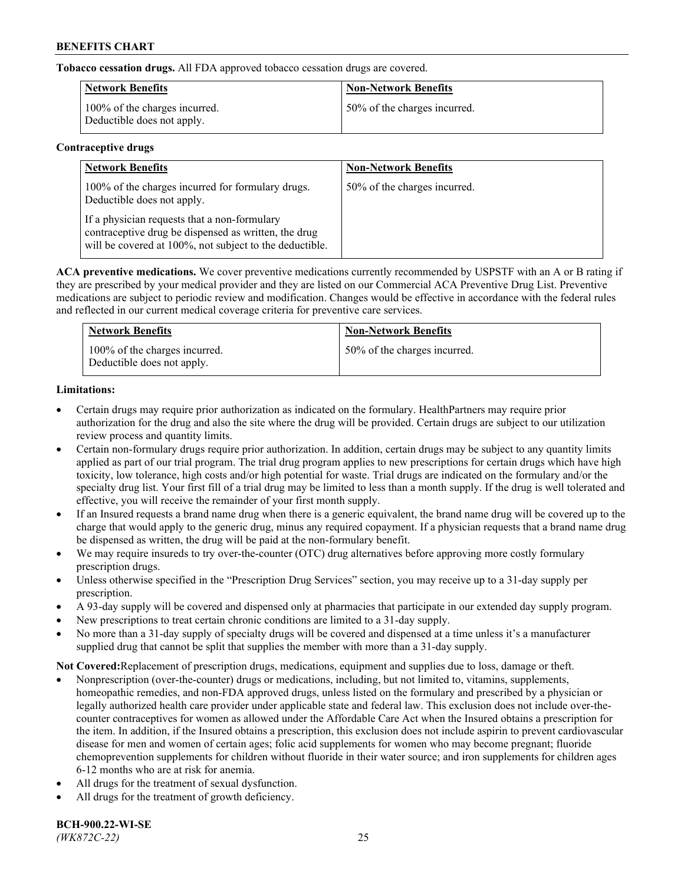**Tobacco cessation drugs.** All FDA approved tobacco cessation drugs are covered.

| Network Benefits                                            | <b>Non-Network Benefits</b>  |
|-------------------------------------------------------------|------------------------------|
| 100% of the charges incurred.<br>Deductible does not apply. | 50% of the charges incurred. |

## **Contraceptive drugs**

| <b>Network Benefits</b>                                                                                                                                         | <b>Non-Network Benefits</b>  |
|-----------------------------------------------------------------------------------------------------------------------------------------------------------------|------------------------------|
| 100% of the charges incurred for formulary drugs.<br>Deductible does not apply.                                                                                 | 50% of the charges incurred. |
| If a physician requests that a non-formulary<br>contraceptive drug be dispensed as written, the drug<br>will be covered at 100%, not subject to the deductible. |                              |

**ACA preventive medications.** We cover preventive medications currently recommended by USPSTF with an A or B rating if they are prescribed by your medical provider and they are listed on our Commercial ACA Preventive Drug List. Preventive medications are subject to periodic review and modification. Changes would be effective in accordance with the federal rules and reflected in our current medical coverage criteria for preventive care services.

| <b>Network Benefits</b>                                     | <b>Non-Network Benefits</b>  |
|-------------------------------------------------------------|------------------------------|
| 100% of the charges incurred.<br>Deductible does not apply. | 50% of the charges incurred. |

## **Limitations:**

- Certain drugs may require prior authorization as indicated on the formulary. HealthPartners may require prior authorization for the drug and also the site where the drug will be provided. Certain drugs are subject to our utilization review process and quantity limits.
- Certain non-formulary drugs require prior authorization. In addition, certain drugs may be subject to any quantity limits applied as part of our trial program. The trial drug program applies to new prescriptions for certain drugs which have high toxicity, low tolerance, high costs and/or high potential for waste. Trial drugs are indicated on the formulary and/or the specialty drug list. Your first fill of a trial drug may be limited to less than a month supply. If the drug is well tolerated and effective, you will receive the remainder of your first month supply.
- If an Insured requests a brand name drug when there is a generic equivalent, the brand name drug will be covered up to the charge that would apply to the generic drug, minus any required copayment. If a physician requests that a brand name drug be dispensed as written, the drug will be paid at the non-formulary benefit.
- We may require insureds to try over-the-counter (OTC) drug alternatives before approving more costly formulary prescription drugs.
- Unless otherwise specified in the "Prescription Drug Services" section, you may receive up to a 31-day supply per prescription.
- A 93-day supply will be covered and dispensed only at pharmacies that participate in our extended day supply program.
- New prescriptions to treat certain chronic conditions are limited to a 31-day supply.
- No more than a 31-day supply of specialty drugs will be covered and dispensed at a time unless it's a manufacturer supplied drug that cannot be split that supplies the member with more than a 31-day supply.

**Not Covered:**Replacement of prescription drugs, medications, equipment and supplies due to loss, damage or theft.

- Nonprescription (over-the-counter) drugs or medications, including, but not limited to, vitamins, supplements, homeopathic remedies, and non-FDA approved drugs, unless listed on the formulary and prescribed by a physician or legally authorized health care provider under applicable state and federal law. This exclusion does not include over-thecounter contraceptives for women as allowed under the Affordable Care Act when the Insured obtains a prescription for the item. In addition, if the Insured obtains a prescription, this exclusion does not include aspirin to prevent cardiovascular disease for men and women of certain ages; folic acid supplements for women who may become pregnant; fluoride chemoprevention supplements for children without fluoride in their water source; and iron supplements for children ages 6-12 months who are at risk for anemia.
- All drugs for the treatment of sexual dysfunction.
- All drugs for the treatment of growth deficiency.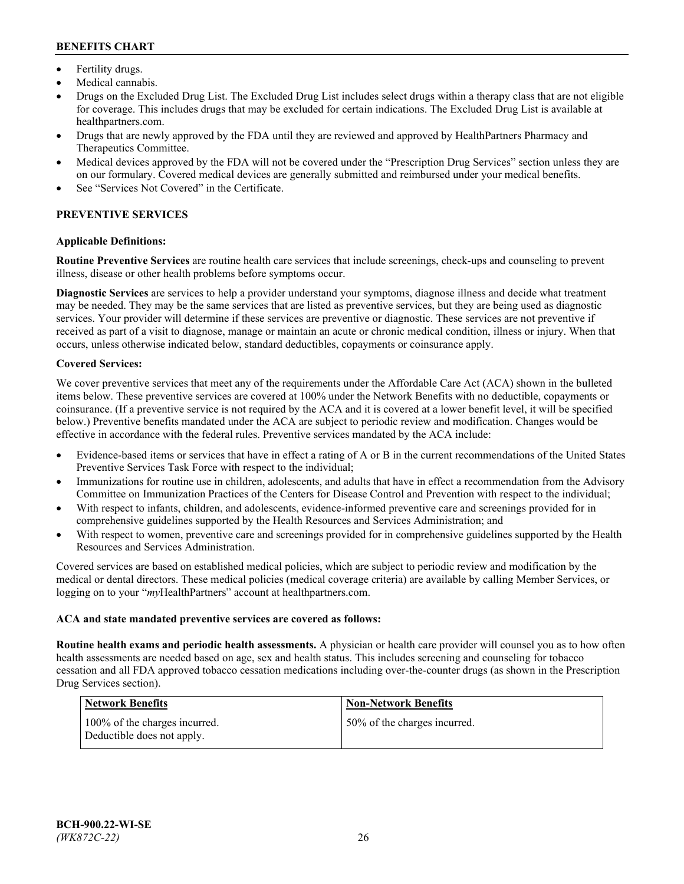- Fertility drugs.
- Medical cannabis.
- Drugs on the Excluded Drug List. The Excluded Drug List includes select drugs within a therapy class that are not eligible for coverage. This includes drugs that may be excluded for certain indications. The Excluded Drug List is available at [healthpartners.com.](http://www.healthpartners.com/)
- Drugs that are newly approved by the FDA until they are reviewed and approved by HealthPartners Pharmacy and Therapeutics Committee.
- Medical devices approved by the FDA will not be covered under the "Prescription Drug Services" section unless they are on our formulary. Covered medical devices are generally submitted and reimbursed under your medical benefits.
- See "Services Not Covered" in the Certificate.

## **PREVENTIVE SERVICES**

### **Applicable Definitions:**

**Routine Preventive Services** are routine health care services that include screenings, check-ups and counseling to prevent illness, disease or other health problems before symptoms occur.

**Diagnostic Services** are services to help a provider understand your symptoms, diagnose illness and decide what treatment may be needed. They may be the same services that are listed as preventive services, but they are being used as diagnostic services. Your provider will determine if these services are preventive or diagnostic. These services are not preventive if received as part of a visit to diagnose, manage or maintain an acute or chronic medical condition, illness or injury. When that occurs, unless otherwise indicated below, standard deductibles, copayments or coinsurance apply.

### **Covered Services:**

We cover preventive services that meet any of the requirements under the Affordable Care Act (ACA) shown in the bulleted items below. These preventive services are covered at 100% under the Network Benefits with no deductible, copayments or coinsurance. (If a preventive service is not required by the ACA and it is covered at a lower benefit level, it will be specified below.) Preventive benefits mandated under the ACA are subject to periodic review and modification. Changes would be effective in accordance with the federal rules. Preventive services mandated by the ACA include:

- Evidence-based items or services that have in effect a rating of A or B in the current recommendations of the United States Preventive Services Task Force with respect to the individual;
- Immunizations for routine use in children, adolescents, and adults that have in effect a recommendation from the Advisory Committee on Immunization Practices of the Centers for Disease Control and Prevention with respect to the individual;
- With respect to infants, children, and adolescents, evidence-informed preventive care and screenings provided for in comprehensive guidelines supported by the Health Resources and Services Administration; and
- With respect to women, preventive care and screenings provided for in comprehensive guidelines supported by the Health Resources and Services Administration.

Covered services are based on established medical policies, which are subject to periodic review and modification by the medical or dental directors. These medical policies (medical coverage criteria) are available by calling Member Services, or logging on to your "*my*HealthPartners" account at [healthpartners.com.](https://www.healthpartners.com/hp/index.html)

#### **ACA and state mandated preventive services are covered as follows:**

**Routine health exams and periodic health assessments.** A physician or health care provider will counsel you as to how often health assessments are needed based on age, sex and health status. This includes screening and counseling for tobacco cessation and all FDA approved tobacco cessation medications including over-the-counter drugs (as shown in the Prescription Drug Services section).

| Network Benefits                                            | <b>Non-Network Benefits</b>  |
|-------------------------------------------------------------|------------------------------|
| 100% of the charges incurred.<br>Deductible does not apply. | 50% of the charges incurred. |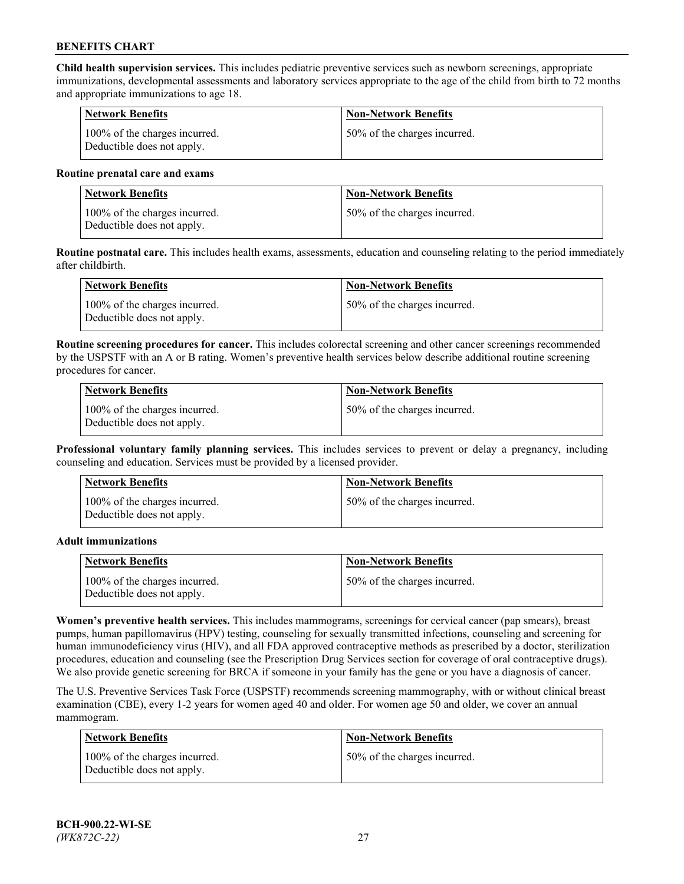**Child health supervision services.** This includes pediatric preventive services such as newborn screenings, appropriate immunizations, developmental assessments and laboratory services appropriate to the age of the child from birth to 72 months and appropriate immunizations to age 18.

| <b>Network Benefits</b>                                     | <b>Non-Network Benefits</b>  |
|-------------------------------------------------------------|------------------------------|
| 100% of the charges incurred.<br>Deductible does not apply. | 50% of the charges incurred. |

#### **Routine prenatal care and exams**

| Network Benefits                                            | <b>Non-Network Benefits</b>  |
|-------------------------------------------------------------|------------------------------|
| 100% of the charges incurred.<br>Deductible does not apply. | 50% of the charges incurred. |

**Routine postnatal care.** This includes health exams, assessments, education and counseling relating to the period immediately after childbirth.

| Network Benefits                                            | <b>Non-Network Benefits</b>  |
|-------------------------------------------------------------|------------------------------|
| 100% of the charges incurred.<br>Deductible does not apply. | 50% of the charges incurred. |

**Routine screening procedures for cancer.** This includes colorectal screening and other cancer screenings recommended by the USPSTF with an A or B rating. Women's preventive health services below describe additional routine screening procedures for cancer.

| <b>Network Benefits</b>                                     | <b>Non-Network Benefits</b>  |
|-------------------------------------------------------------|------------------------------|
| 100% of the charges incurred.<br>Deductible does not apply. | 50% of the charges incurred. |

**Professional voluntary family planning services.** This includes services to prevent or delay a pregnancy, including counseling and education. Services must be provided by a licensed provider.

| <b>Network Benefits</b>                                     | <b>Non-Network Benefits</b>  |
|-------------------------------------------------------------|------------------------------|
| 100% of the charges incurred.<br>Deductible does not apply. | 50% of the charges incurred. |

#### **Adult immunizations**

| <b>Network Benefits</b>                                     | <b>Non-Network Benefits</b>  |
|-------------------------------------------------------------|------------------------------|
| 100% of the charges incurred.<br>Deductible does not apply. | 50% of the charges incurred. |

**Women's preventive health services.** This includes mammograms, screenings for cervical cancer (pap smears), breast pumps, human papillomavirus (HPV) testing, counseling for sexually transmitted infections, counseling and screening for human immunodeficiency virus (HIV), and all FDA approved contraceptive methods as prescribed by a doctor, sterilization procedures, education and counseling (see the Prescription Drug Services section for coverage of oral contraceptive drugs). We also provide genetic screening for BRCA if someone in your family has the gene or you have a diagnosis of cancer.

The U.S. Preventive Services Task Force (USPSTF) recommends screening mammography, with or without clinical breast examination (CBE), every 1-2 years for women aged 40 and older. For women age 50 and older, we cover an annual mammogram.

| <b>Network Benefits</b>                                     | <b>Non-Network Benefits</b>  |
|-------------------------------------------------------------|------------------------------|
| 100% of the charges incurred.<br>Deductible does not apply. | 50% of the charges incurred. |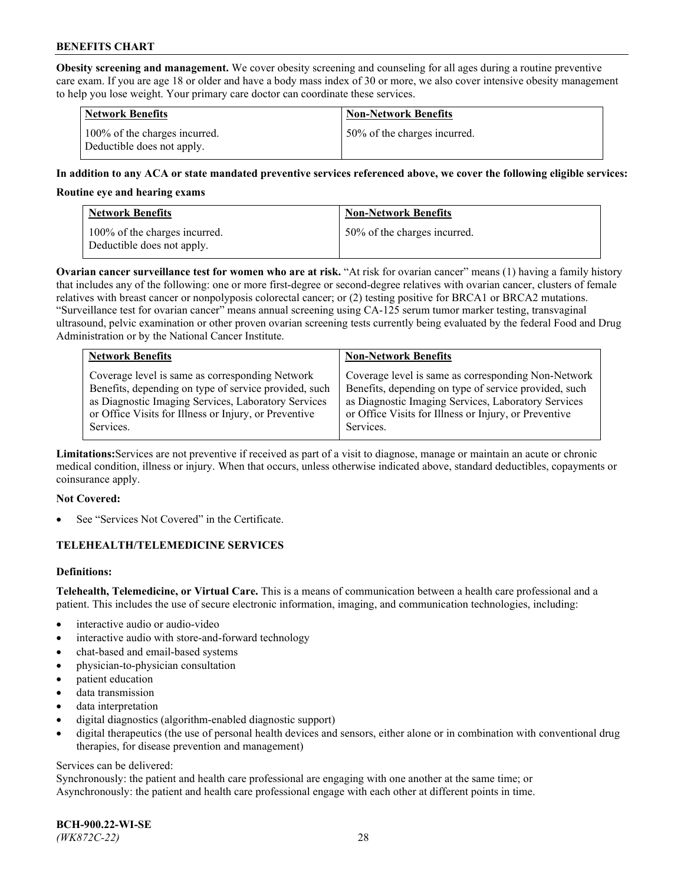**Obesity screening and management.** We cover obesity screening and counseling for all ages during a routine preventive care exam. If you are age 18 or older and have a body mass index of 30 or more, we also cover intensive obesity management to help you lose weight. Your primary care doctor can coordinate these services.

| <b>Network Benefits</b>                                     | <b>Non-Network Benefits</b>  |
|-------------------------------------------------------------|------------------------------|
| 100% of the charges incurred.<br>Deductible does not apply. | 50% of the charges incurred. |

### **In addition to any ACA or state mandated preventive services referenced above, we cover the following eligible services:**

#### **Routine eye and hearing exams**

| <b>Network Benefits</b>                                     | <b>Non-Network Benefits</b>  |
|-------------------------------------------------------------|------------------------------|
| 100% of the charges incurred.<br>Deductible does not apply. | 50% of the charges incurred. |

**Ovarian cancer surveillance test for women who are at risk.** "At risk for ovarian cancer" means (1) having a family history that includes any of the following: one or more first-degree or second-degree relatives with ovarian cancer, clusters of female relatives with breast cancer or nonpolyposis colorectal cancer; or (2) testing positive for BRCA1 or BRCA2 mutations. "Surveillance test for ovarian cancer" means annual screening using CA-125 serum tumor marker testing, transvaginal ultrasound, pelvic examination or other proven ovarian screening tests currently being evaluated by the federal Food and Drug Administration or by the National Cancer Institute.

| <b>Network Benefits</b>                               | <b>Non-Network Benefits</b>                           |
|-------------------------------------------------------|-------------------------------------------------------|
| Coverage level is same as corresponding Network       | Coverage level is same as corresponding Non-Network   |
| Benefits, depending on type of service provided, such | Benefits, depending on type of service provided, such |
| as Diagnostic Imaging Services, Laboratory Services   | as Diagnostic Imaging Services, Laboratory Services   |
| or Office Visits for Illness or Injury, or Preventive | or Office Visits for Illness or Injury, or Preventive |
| Services.                                             | Services.                                             |

**Limitations:**Services are not preventive if received as part of a visit to diagnose, manage or maintain an acute or chronic medical condition, illness or injury. When that occurs, unless otherwise indicated above, standard deductibles, copayments or coinsurance apply.

#### **Not Covered:**

See "Services Not Covered" in the Certificate.

## **TELEHEALTH/TELEMEDICINE SERVICES**

## **Definitions:**

**Telehealth, Telemedicine, or Virtual Care.** This is a means of communication between a health care professional and a patient. This includes the use of secure electronic information, imaging, and communication technologies, including:

- interactive audio or audio-video
- interactive audio with store-and-forward technology
- chat-based and email-based systems
- physician-to-physician consultation
- patient education
- data transmission
- data interpretation
- digital diagnostics (algorithm-enabled diagnostic support)
- digital therapeutics (the use of personal health devices and sensors, either alone or in combination with conventional drug therapies, for disease prevention and management)

#### Services can be delivered:

Synchronously: the patient and health care professional are engaging with one another at the same time; or Asynchronously: the patient and health care professional engage with each other at different points in time.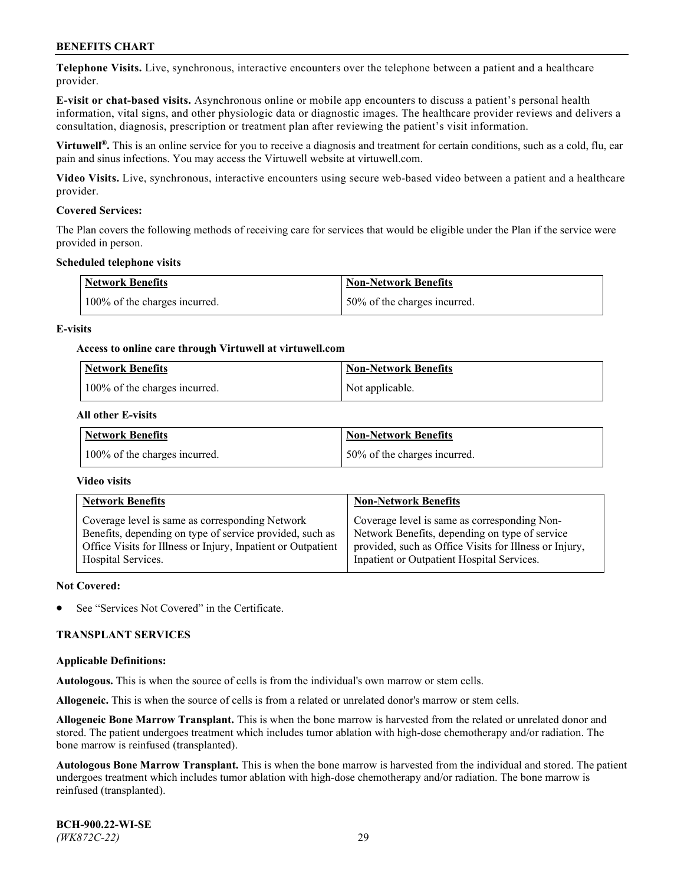**Telephone Visits.** Live, synchronous, interactive encounters over the telephone between a patient and a healthcare provider.

**E-visit or chat-based visits.** Asynchronous online or mobile app encounters to discuss a patient's personal health information, vital signs, and other physiologic data or diagnostic images. The healthcare provider reviews and delivers a consultation, diagnosis, prescription or treatment plan after reviewing the patient's visit information.

**Virtuwell®.** This is an online service for you to receive a diagnosis and treatment for certain conditions, such as a cold, flu, ear pain and sinus infections. You may access the Virtuwell website at [virtuwell.com.](https://www.virtuwell.com/)

**Video Visits.** Live, synchronous, interactive encounters using secure web-based video between a patient and a healthcare provider.

### **Covered Services:**

The Plan covers the following methods of receiving care for services that would be eligible under the Plan if the service were provided in person.

#### **Scheduled telephone visits**

| <b>Network Benefits</b>       | <b>Non-Network Benefits</b>  |
|-------------------------------|------------------------------|
| 100% of the charges incurred. | 50% of the charges incurred. |

### **E-visits**

### **Access to online care through Virtuwell at [virtuwell.com](https://www.virtuwell.com/)**

| Network Benefits              | <b>Non-Network Benefits</b> |
|-------------------------------|-----------------------------|
| 100% of the charges incurred. | Not applicable.             |

### **All other E-visits**

| <b>Network Benefits</b>       | <b>Non-Network Benefits</b>  |
|-------------------------------|------------------------------|
| 100% of the charges incurred. | 50% of the charges incurred. |

#### **Video visits**

| <b>Network Benefits</b>                                      | <b>Non-Network Benefits</b>                            |
|--------------------------------------------------------------|--------------------------------------------------------|
| Coverage level is same as corresponding Network              | Coverage level is same as corresponding Non-           |
| Benefits, depending on type of service provided, such as     | Network Benefits, depending on type of service         |
| Office Visits for Illness or Injury, Inpatient or Outpatient | provided, such as Office Visits for Illness or Injury, |
| Hospital Services.                                           | Inpatient or Outpatient Hospital Services.             |

#### **Not Covered:**

See "Services Not Covered" in the Certificate.

## **TRANSPLANT SERVICES**

#### **Applicable Definitions:**

**Autologous.** This is when the source of cells is from the individual's own marrow or stem cells.

**Allogeneic.** This is when the source of cells is from a related or unrelated donor's marrow or stem cells.

**Allogeneic Bone Marrow Transplant.** This is when the bone marrow is harvested from the related or unrelated donor and stored. The patient undergoes treatment which includes tumor ablation with high-dose chemotherapy and/or radiation. The bone marrow is reinfused (transplanted).

**Autologous Bone Marrow Transplant.** This is when the bone marrow is harvested from the individual and stored. The patient undergoes treatment which includes tumor ablation with high-dose chemotherapy and/or radiation. The bone marrow is reinfused (transplanted).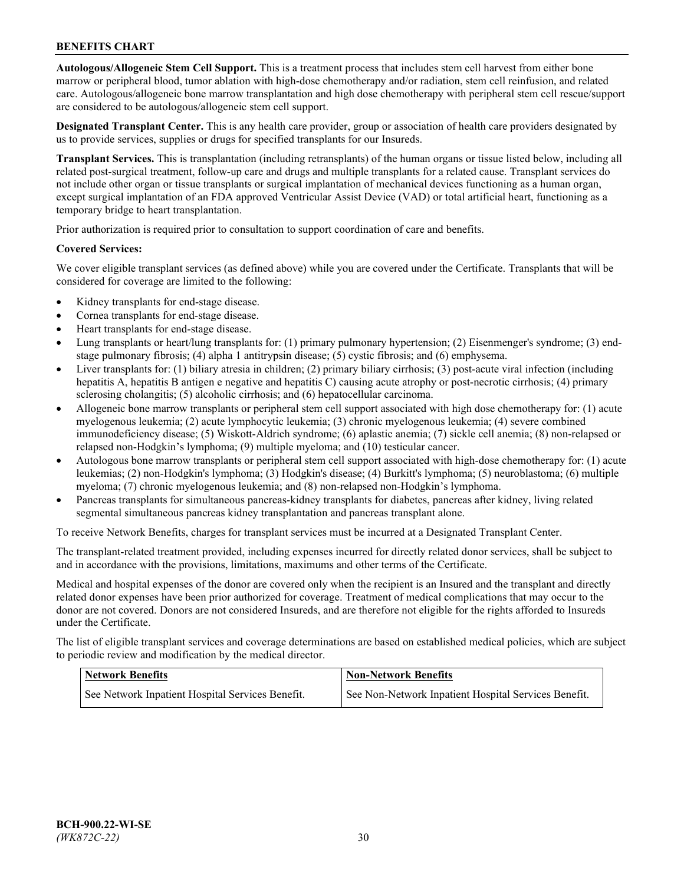**Autologous/Allogeneic Stem Cell Support.** This is a treatment process that includes stem cell harvest from either bone marrow or peripheral blood, tumor ablation with high-dose chemotherapy and/or radiation, stem cell reinfusion, and related care. Autologous/allogeneic bone marrow transplantation and high dose chemotherapy with peripheral stem cell rescue/support are considered to be autologous/allogeneic stem cell support.

**Designated Transplant Center.** This is any health care provider, group or association of health care providers designated by us to provide services, supplies or drugs for specified transplants for our Insureds.

**Transplant Services.** This is transplantation (including retransplants) of the human organs or tissue listed below, including all related post-surgical treatment, follow-up care and drugs and multiple transplants for a related cause. Transplant services do not include other organ or tissue transplants or surgical implantation of mechanical devices functioning as a human organ, except surgical implantation of an FDA approved Ventricular Assist Device (VAD) or total artificial heart, functioning as a temporary bridge to heart transplantation.

Prior authorization is required prior to consultation to support coordination of care and benefits.

### **Covered Services:**

We cover eligible transplant services (as defined above) while you are covered under the Certificate. Transplants that will be considered for coverage are limited to the following:

- Kidney transplants for end-stage disease.
- Cornea transplants for end-stage disease.
- Heart transplants for end-stage disease.
- Lung transplants or heart/lung transplants for: (1) primary pulmonary hypertension; (2) Eisenmenger's syndrome; (3) endstage pulmonary fibrosis; (4) alpha 1 antitrypsin disease; (5) cystic fibrosis; and (6) emphysema.
- Liver transplants for: (1) biliary atresia in children; (2) primary biliary cirrhosis; (3) post-acute viral infection (including hepatitis A, hepatitis B antigen e negative and hepatitis C) causing acute atrophy or post-necrotic cirrhosis; (4) primary sclerosing cholangitis; (5) alcoholic cirrhosis; and (6) hepatocellular carcinoma.
- Allogeneic bone marrow transplants or peripheral stem cell support associated with high dose chemotherapy for: (1) acute myelogenous leukemia; (2) acute lymphocytic leukemia; (3) chronic myelogenous leukemia; (4) severe combined immunodeficiency disease; (5) Wiskott-Aldrich syndrome; (6) aplastic anemia; (7) sickle cell anemia; (8) non-relapsed or relapsed non-Hodgkin's lymphoma; (9) multiple myeloma; and (10) testicular cancer.
- Autologous bone marrow transplants or peripheral stem cell support associated with high-dose chemotherapy for: (1) acute leukemias; (2) non-Hodgkin's lymphoma; (3) Hodgkin's disease; (4) Burkitt's lymphoma; (5) neuroblastoma; (6) multiple myeloma; (7) chronic myelogenous leukemia; and (8) non-relapsed non-Hodgkin's lymphoma.
- Pancreas transplants for simultaneous pancreas-kidney transplants for diabetes, pancreas after kidney, living related segmental simultaneous pancreas kidney transplantation and pancreas transplant alone.

To receive Network Benefits, charges for transplant services must be incurred at a Designated Transplant Center.

The transplant-related treatment provided, including expenses incurred for directly related donor services, shall be subject to and in accordance with the provisions, limitations, maximums and other terms of the Certificate.

Medical and hospital expenses of the donor are covered only when the recipient is an Insured and the transplant and directly related donor expenses have been prior authorized for coverage. Treatment of medical complications that may occur to the donor are not covered. Donors are not considered Insureds, and are therefore not eligible for the rights afforded to Insureds under the Certificate.

The list of eligible transplant services and coverage determinations are based on established medical policies, which are subject to periodic review and modification by the medical director.

| <b>Network Benefits</b>                          | <b>Non-Network Benefits</b>                          |
|--------------------------------------------------|------------------------------------------------------|
| See Network Inpatient Hospital Services Benefit. | See Non-Network Inpatient Hospital Services Benefit. |